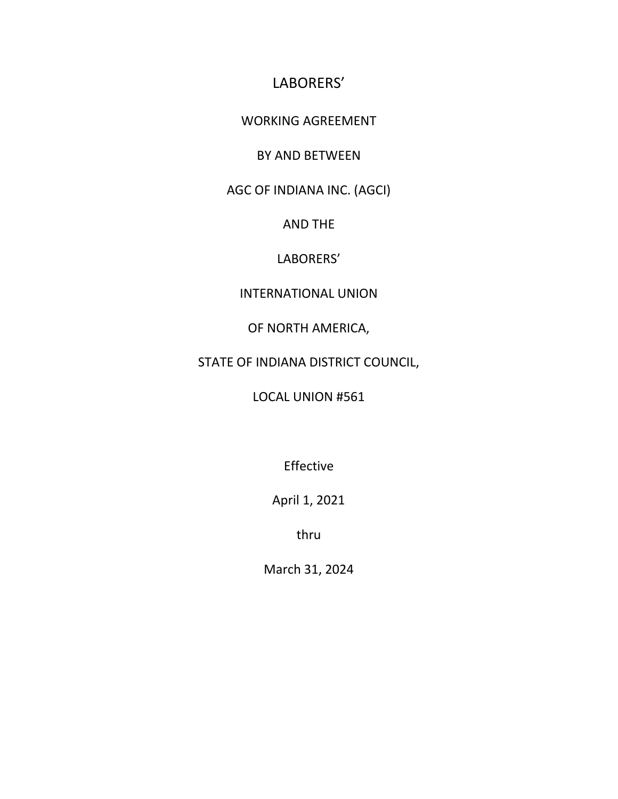## LABORERS'

#### WORKING AGREEMENT

### BY AND BETWEEN

AGC OF INDIANA INC. (AGCI)

AND THE

### LABORERS'

#### INTERNATIONAL UNION

### OF NORTH AMERICA,

## STATE OF INDIANA DISTRICT COUNCIL,

## LOCAL UNION #561

Effective

April 1, 2021

thru

March 31, 2024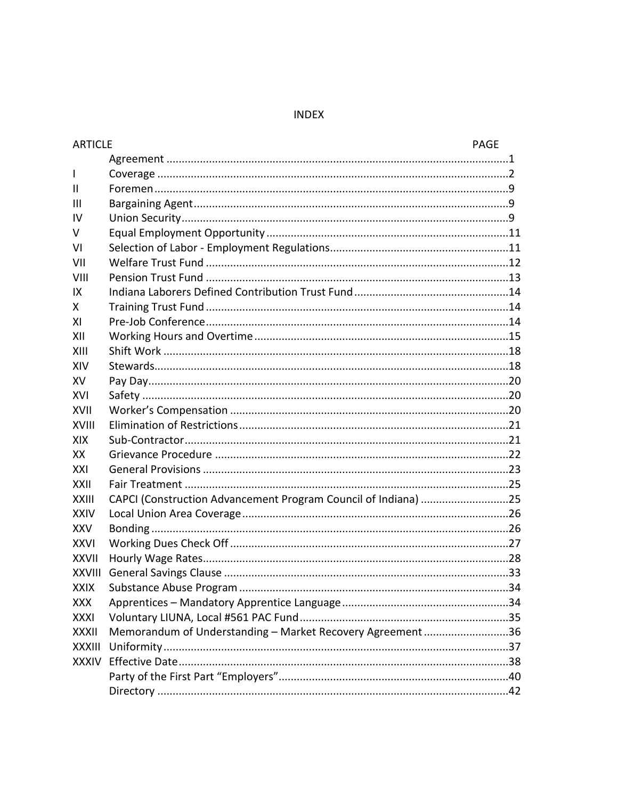#### **INDEX**

| <b>ARTICLE</b> |                                                                | <b>PAGE</b> |
|----------------|----------------------------------------------------------------|-------------|
|                |                                                                |             |
| $\mathbf{I}$   |                                                                |             |
| $\mathbf{H}$   |                                                                |             |
| Ш              |                                                                |             |
| <b>IV</b>      |                                                                |             |
| V              |                                                                |             |
| VI             |                                                                |             |
| VII            |                                                                |             |
| VIII           |                                                                |             |
| IX             |                                                                |             |
| X              |                                                                |             |
| XI             |                                                                |             |
| XII            |                                                                |             |
| XIII           |                                                                |             |
| XIV            |                                                                |             |
| XV.            |                                                                |             |
| XVI            |                                                                |             |
| XVII           |                                                                |             |
| XVIII          |                                                                |             |
| <b>XIX</b>     |                                                                |             |
| XX             |                                                                |             |
| XXI            |                                                                |             |
| XXII           |                                                                |             |
| <b>XXIII</b>   | CAPCI (Construction Advancement Program Council of Indiana) 25 |             |
| <b>XXIV</b>    |                                                                |             |
| <b>XXV</b>     |                                                                |             |
| <b>XXVI</b>    |                                                                |             |
| <b>XXVII</b>   |                                                                |             |
|                |                                                                |             |
| <b>XXIX</b>    |                                                                |             |
| <b>XXX</b>     |                                                                |             |
| <b>XXXI</b>    |                                                                |             |
| <b>XXXII</b>   | Memorandum of Understanding - Market Recovery Agreement36      |             |
| <b>XXXIII</b>  |                                                                |             |
| <b>XXXIV</b>   |                                                                |             |
|                |                                                                |             |
|                |                                                                |             |
|                |                                                                |             |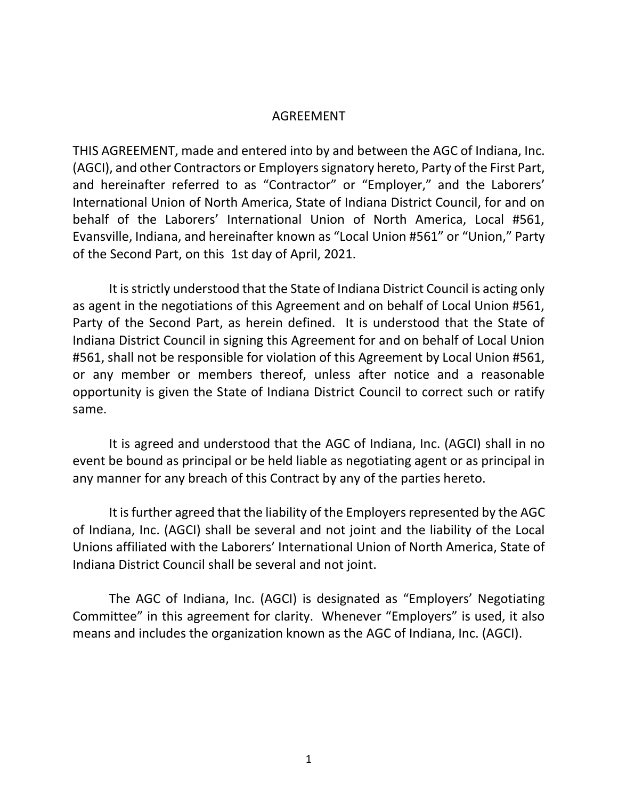#### AGREEMENT

THIS AGREEMENT, made and entered into by and between the AGC of Indiana, Inc. (AGCI), and other Contractors or Employers signatory hereto, Party of the First Part, and hereinafter referred to as "Contractor" or "Employer," and the Laborers' International Union of North America, State of Indiana District Council, for and on behalf of the Laborers' International Union of North America, Local #561, Evansville, Indiana, and hereinafter known as "Local Union #561" or "Union," Party of the Second Part, on this 1st day of April, 2021.

It is strictly understood that the State of Indiana District Council is acting only as agent in the negotiations of this Agreement and on behalf of Local Union #561, Party of the Second Part, as herein defined. It is understood that the State of Indiana District Council in signing this Agreement for and on behalf of Local Union #561, shall not be responsible for violation of this Agreement by Local Union #561, or any member or members thereof, unless after notice and a reasonable opportunity is given the State of Indiana District Council to correct such or ratify same.

It is agreed and understood that the AGC of Indiana, Inc. (AGCI) shall in no event be bound as principal or be held liable as negotiating agent or as principal in any manner for any breach of this Contract by any of the parties hereto.

It is further agreed that the liability of the Employers represented by the AGC of Indiana, Inc. (AGCI) shall be several and not joint and the liability of the Local Unions affiliated with the Laborers' International Union of North America, State of Indiana District Council shall be several and not joint.

The AGC of Indiana, Inc. (AGCI) is designated as "Employers' Negotiating Committee" in this agreement for clarity. Whenever "Employers" is used, it also means and includes the organization known as the AGC of Indiana, Inc. (AGCI).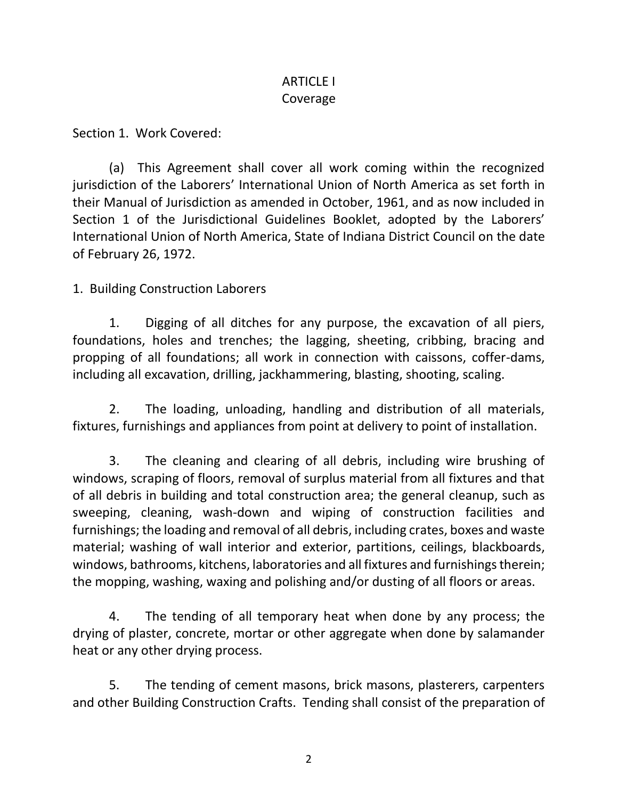## ARTICLE I Coverage

Section 1. Work Covered:

(a) This Agreement shall cover all work coming within the recognized jurisdiction of the Laborers' International Union of North America as set forth in their Manual of Jurisdiction as amended in October, 1961, and as now included in Section 1 of the Jurisdictional Guidelines Booklet, adopted by the Laborers' International Union of North America, State of Indiana District Council on the date of February 26, 1972.

1. Building Construction Laborers

1. Digging of all ditches for any purpose, the excavation of all piers, foundations, holes and trenches; the lagging, sheeting, cribbing, bracing and propping of all foundations; all work in connection with caissons, coffer-dams, including all excavation, drilling, jackhammering, blasting, shooting, scaling.

2. The loading, unloading, handling and distribution of all materials, fixtures, furnishings and appliances from point at delivery to point of installation.

3. The cleaning and clearing of all debris, including wire brushing of windows, scraping of floors, removal of surplus material from all fixtures and that of all debris in building and total construction area; the general cleanup, such as sweeping, cleaning, wash-down and wiping of construction facilities and furnishings; the loading and removal of all debris, including crates, boxes and waste material; washing of wall interior and exterior, partitions, ceilings, blackboards, windows, bathrooms, kitchens, laboratories and all fixtures and furnishings therein; the mopping, washing, waxing and polishing and/or dusting of all floors or areas.

4. The tending of all temporary heat when done by any process; the drying of plaster, concrete, mortar or other aggregate when done by salamander heat or any other drying process.

5. The tending of cement masons, brick masons, plasterers, carpenters and other Building Construction Crafts. Tending shall consist of the preparation of

2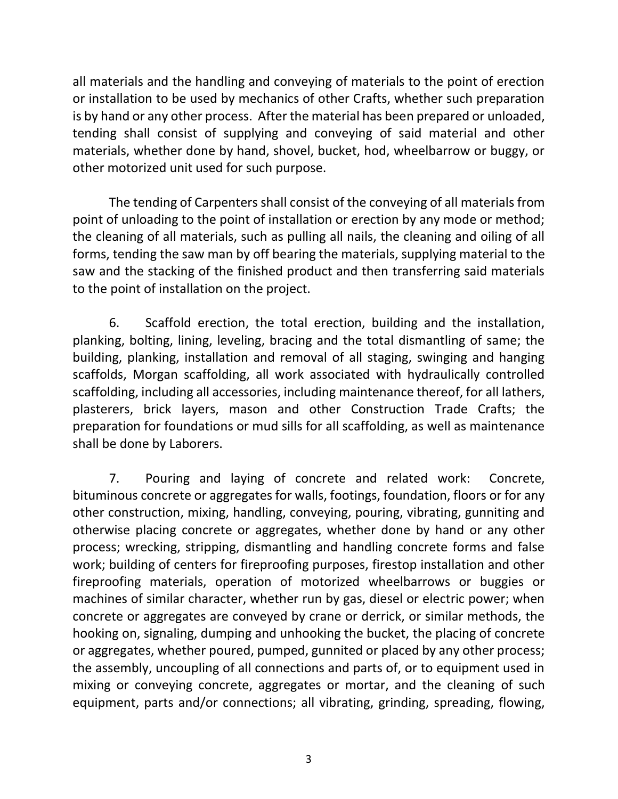all materials and the handling and conveying of materials to the point of erection or installation to be used by mechanics of other Crafts, whether such preparation is by hand or any other process. After the material has been prepared or unloaded, tending shall consist of supplying and conveying of said material and other materials, whether done by hand, shovel, bucket, hod, wheelbarrow or buggy, or other motorized unit used for such purpose.

The tending of Carpenters shall consist of the conveying of all materials from point of unloading to the point of installation or erection by any mode or method; the cleaning of all materials, such as pulling all nails, the cleaning and oiling of all forms, tending the saw man by off bearing the materials, supplying material to the saw and the stacking of the finished product and then transferring said materials to the point of installation on the project.

6. Scaffold erection, the total erection, building and the installation, planking, bolting, lining, leveling, bracing and the total dismantling of same; the building, planking, installation and removal of all staging, swinging and hanging scaffolds, Morgan scaffolding, all work associated with hydraulically controlled scaffolding, including all accessories, including maintenance thereof, for all lathers, plasterers, brick layers, mason and other Construction Trade Crafts; the preparation for foundations or mud sills for all scaffolding, as well as maintenance shall be done by Laborers.

7. Pouring and laying of concrete and related work: Concrete, bituminous concrete or aggregates for walls, footings, foundation, floors or for any other construction, mixing, handling, conveying, pouring, vibrating, gunniting and otherwise placing concrete or aggregates, whether done by hand or any other process; wrecking, stripping, dismantling and handling concrete forms and false work; building of centers for fireproofing purposes, firestop installation and other fireproofing materials, operation of motorized wheelbarrows or buggies or machines of similar character, whether run by gas, diesel or electric power; when concrete or aggregates are conveyed by crane or derrick, or similar methods, the hooking on, signaling, dumping and unhooking the bucket, the placing of concrete or aggregates, whether poured, pumped, gunnited or placed by any other process; the assembly, uncoupling of all connections and parts of, or to equipment used in mixing or conveying concrete, aggregates or mortar, and the cleaning of such equipment, parts and/or connections; all vibrating, grinding, spreading, flowing,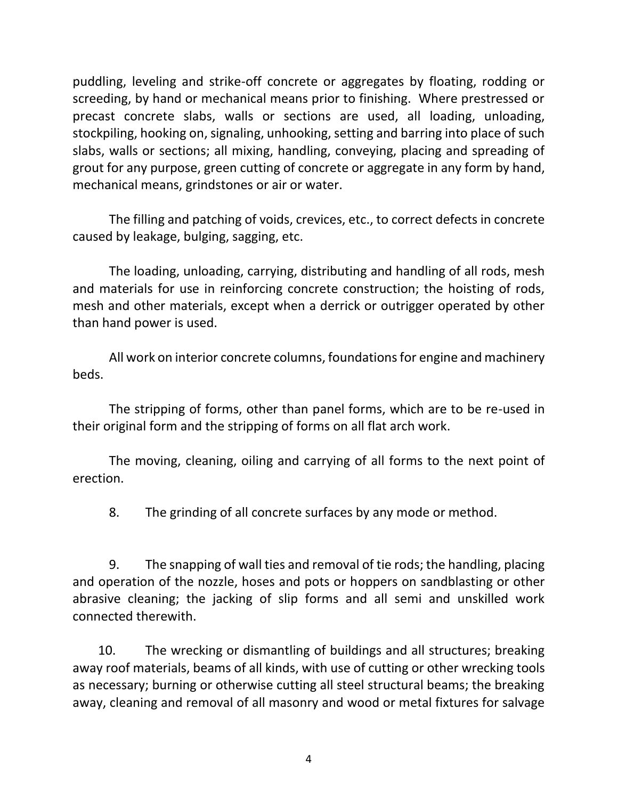puddling, leveling and strike-off concrete or aggregates by floating, rodding or screeding, by hand or mechanical means prior to finishing. Where prestressed or precast concrete slabs, walls or sections are used, all loading, unloading, stockpiling, hooking on, signaling, unhooking, setting and barring into place of such slabs, walls or sections; all mixing, handling, conveying, placing and spreading of grout for any purpose, green cutting of concrete or aggregate in any form by hand, mechanical means, grindstones or air or water.

The filling and patching of voids, crevices, etc., to correct defects in concrete caused by leakage, bulging, sagging, etc.

The loading, unloading, carrying, distributing and handling of all rods, mesh and materials for use in reinforcing concrete construction; the hoisting of rods, mesh and other materials, except when a derrick or outrigger operated by other than hand power is used.

All work on interior concrete columns, foundations for engine and machinery beds.

The stripping of forms, other than panel forms, which are to be re-used in their original form and the stripping of forms on all flat arch work.

The moving, cleaning, oiling and carrying of all forms to the next point of erection.

8. The grinding of all concrete surfaces by any mode or method.

9. The snapping of wall ties and removal of tie rods; the handling, placing and operation of the nozzle, hoses and pots or hoppers on sandblasting or other abrasive cleaning; the jacking of slip forms and all semi and unskilled work connected therewith.

 10. The wrecking or dismantling of buildings and all structures; breaking away roof materials, beams of all kinds, with use of cutting or other wrecking tools as necessary; burning or otherwise cutting all steel structural beams; the breaking away, cleaning and removal of all masonry and wood or metal fixtures for salvage

4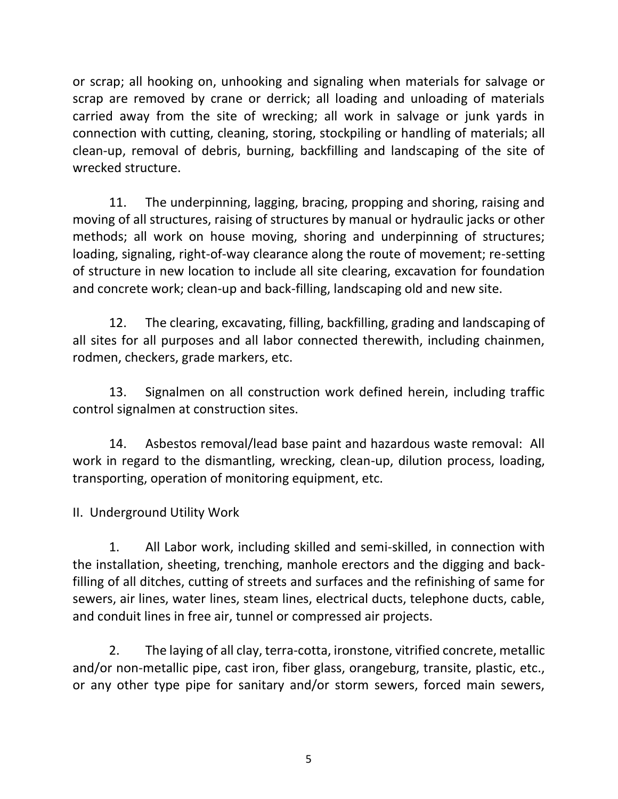or scrap; all hooking on, unhooking and signaling when materials for salvage or scrap are removed by crane or derrick; all loading and unloading of materials carried away from the site of wrecking; all work in salvage or junk yards in connection with cutting, cleaning, storing, stockpiling or handling of materials; all clean-up, removal of debris, burning, backfilling and landscaping of the site of wrecked structure.

11. The underpinning, lagging, bracing, propping and shoring, raising and moving of all structures, raising of structures by manual or hydraulic jacks or other methods; all work on house moving, shoring and underpinning of structures; loading, signaling, right-of-way clearance along the route of movement; re-setting of structure in new location to include all site clearing, excavation for foundation and concrete work; clean-up and back-filling, landscaping old and new site.

12. The clearing, excavating, filling, backfilling, grading and landscaping of all sites for all purposes and all labor connected therewith, including chainmen, rodmen, checkers, grade markers, etc.

13. Signalmen on all construction work defined herein, including traffic control signalmen at construction sites.

14. Asbestos removal/lead base paint and hazardous waste removal: All work in regard to the dismantling, wrecking, clean-up, dilution process, loading, transporting, operation of monitoring equipment, etc.

II. Underground Utility Work

1. All Labor work, including skilled and semi-skilled, in connection with the installation, sheeting, trenching, manhole erectors and the digging and backfilling of all ditches, cutting of streets and surfaces and the refinishing of same for sewers, air lines, water lines, steam lines, electrical ducts, telephone ducts, cable, and conduit lines in free air, tunnel or compressed air projects.

2. The laying of all clay, terra-cotta, ironstone, vitrified concrete, metallic and/or non-metallic pipe, cast iron, fiber glass, orangeburg, transite, plastic, etc., or any other type pipe for sanitary and/or storm sewers, forced main sewers,

5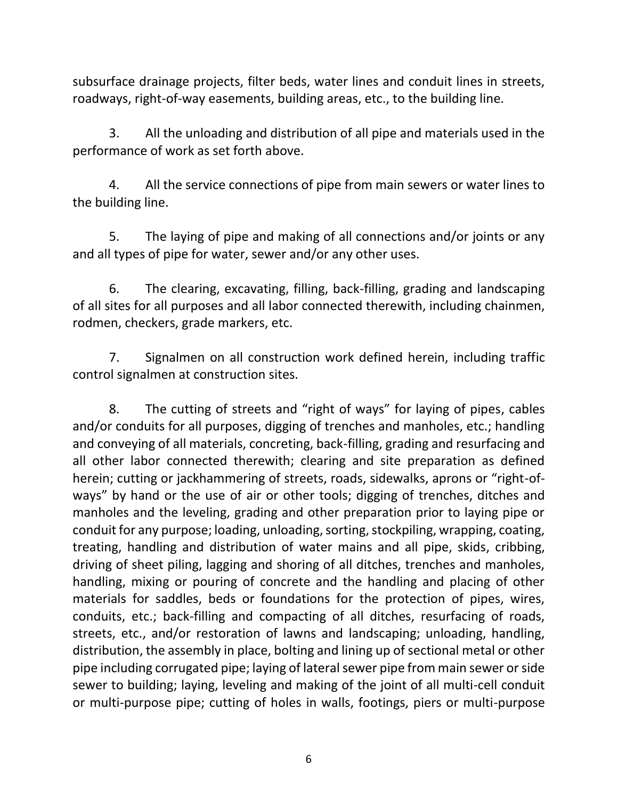subsurface drainage projects, filter beds, water lines and conduit lines in streets, roadways, right-of-way easements, building areas, etc., to the building line.

3. All the unloading and distribution of all pipe and materials used in the performance of work as set forth above.

4. All the service connections of pipe from main sewers or water lines to the building line.

5. The laying of pipe and making of all connections and/or joints or any and all types of pipe for water, sewer and/or any other uses.

6. The clearing, excavating, filling, back-filling, grading and landscaping of all sites for all purposes and all labor connected therewith, including chainmen, rodmen, checkers, grade markers, etc.

7. Signalmen on all construction work defined herein, including traffic control signalmen at construction sites.

8. The cutting of streets and "right of ways" for laying of pipes, cables and/or conduits for all purposes, digging of trenches and manholes, etc.; handling and conveying of all materials, concreting, back-filling, grading and resurfacing and all other labor connected therewith; clearing and site preparation as defined herein; cutting or jackhammering of streets, roads, sidewalks, aprons or "right-ofways" by hand or the use of air or other tools; digging of trenches, ditches and manholes and the leveling, grading and other preparation prior to laying pipe or conduit for any purpose; loading, unloading, sorting, stockpiling, wrapping, coating, treating, handling and distribution of water mains and all pipe, skids, cribbing, driving of sheet piling, lagging and shoring of all ditches, trenches and manholes, handling, mixing or pouring of concrete and the handling and placing of other materials for saddles, beds or foundations for the protection of pipes, wires, conduits, etc.; back-filling and compacting of all ditches, resurfacing of roads, streets, etc., and/or restoration of lawns and landscaping; unloading, handling, distribution, the assembly in place, bolting and lining up of sectional metal or other pipe including corrugated pipe; laying of lateral sewer pipe from main sewer or side sewer to building; laying, leveling and making of the joint of all multi-cell conduit or multi-purpose pipe; cutting of holes in walls, footings, piers or multi-purpose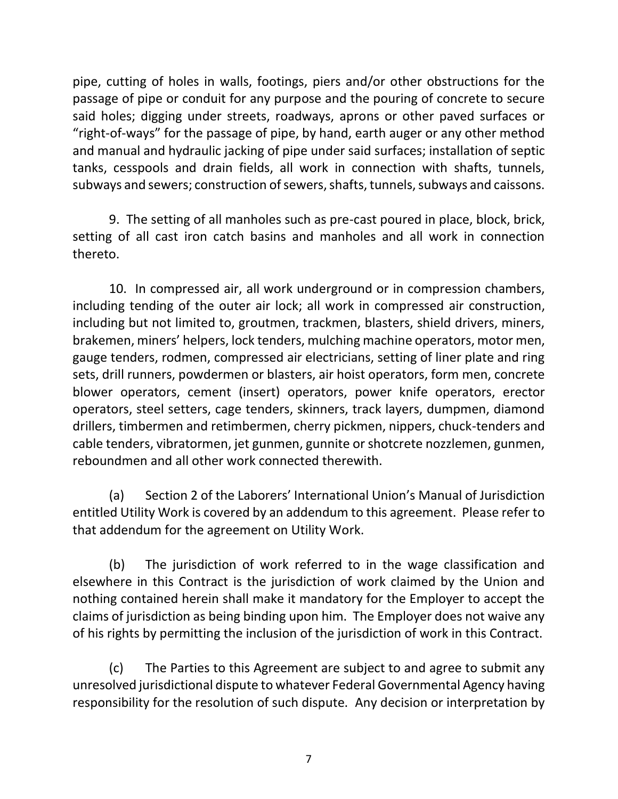pipe, cutting of holes in walls, footings, piers and/or other obstructions for the passage of pipe or conduit for any purpose and the pouring of concrete to secure said holes; digging under streets, roadways, aprons or other paved surfaces or "right-of-ways" for the passage of pipe, by hand, earth auger or any other method and manual and hydraulic jacking of pipe under said surfaces; installation of septic tanks, cesspools and drain fields, all work in connection with shafts, tunnels, subways and sewers; construction of sewers, shafts, tunnels, subways and caissons.

9. The setting of all manholes such as pre-cast poured in place, block, brick, setting of all cast iron catch basins and manholes and all work in connection thereto.

10. In compressed air, all work underground or in compression chambers, including tending of the outer air lock; all work in compressed air construction, including but not limited to, groutmen, trackmen, blasters, shield drivers, miners, brakemen, miners' helpers, lock tenders, mulching machine operators, motor men, gauge tenders, rodmen, compressed air electricians, setting of liner plate and ring sets, drill runners, powdermen or blasters, air hoist operators, form men, concrete blower operators, cement (insert) operators, power knife operators, erector operators, steel setters, cage tenders, skinners, track layers, dumpmen, diamond drillers, timbermen and retimbermen, cherry pickmen, nippers, chuck-tenders and cable tenders, vibratormen, jet gunmen, gunnite or shotcrete nozzlemen, gunmen, reboundmen and all other work connected therewith.

(a) Section 2 of the Laborers' International Union's Manual of Jurisdiction entitled Utility Work is covered by an addendum to this agreement. Please refer to that addendum for the agreement on Utility Work.

(b) The jurisdiction of work referred to in the wage classification and elsewhere in this Contract is the jurisdiction of work claimed by the Union and nothing contained herein shall make it mandatory for the Employer to accept the claims of jurisdiction as being binding upon him. The Employer does not waive any of his rights by permitting the inclusion of the jurisdiction of work in this Contract.

(c) The Parties to this Agreement are subject to and agree to submit any unresolved jurisdictional dispute to whatever Federal Governmental Agency having responsibility for the resolution of such dispute. Any decision or interpretation by

7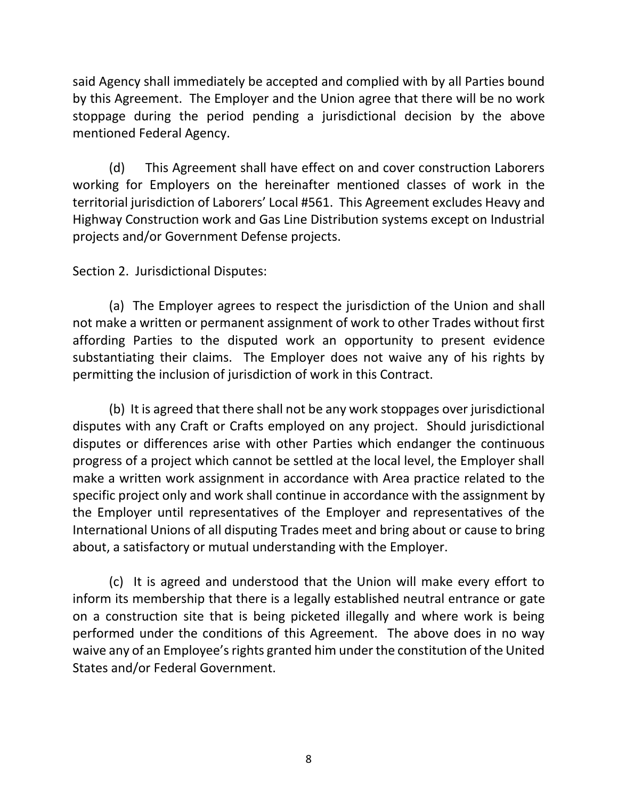said Agency shall immediately be accepted and complied with by all Parties bound by this Agreement. The Employer and the Union agree that there will be no work stoppage during the period pending a jurisdictional decision by the above mentioned Federal Agency.

(d) This Agreement shall have effect on and cover construction Laborers working for Employers on the hereinafter mentioned classes of work in the territorial jurisdiction of Laborers' Local #561. This Agreement excludes Heavy and Highway Construction work and Gas Line Distribution systems except on Industrial projects and/or Government Defense projects.

Section 2. Jurisdictional Disputes:

(a) The Employer agrees to respect the jurisdiction of the Union and shall not make a written or permanent assignment of work to other Trades without first affording Parties to the disputed work an opportunity to present evidence substantiating their claims. The Employer does not waive any of his rights by permitting the inclusion of jurisdiction of work in this Contract.

(b) It is agreed that there shall not be any work stoppages over jurisdictional disputes with any Craft or Crafts employed on any project. Should jurisdictional disputes or differences arise with other Parties which endanger the continuous progress of a project which cannot be settled at the local level, the Employer shall make a written work assignment in accordance with Area practice related to the specific project only and work shall continue in accordance with the assignment by the Employer until representatives of the Employer and representatives of the International Unions of all disputing Trades meet and bring about or cause to bring about, a satisfactory or mutual understanding with the Employer.

(c) It is agreed and understood that the Union will make every effort to inform its membership that there is a legally established neutral entrance or gate on a construction site that is being picketed illegally and where work is being performed under the conditions of this Agreement. The above does in no way waive any of an Employee's rights granted him under the constitution of the United States and/or Federal Government.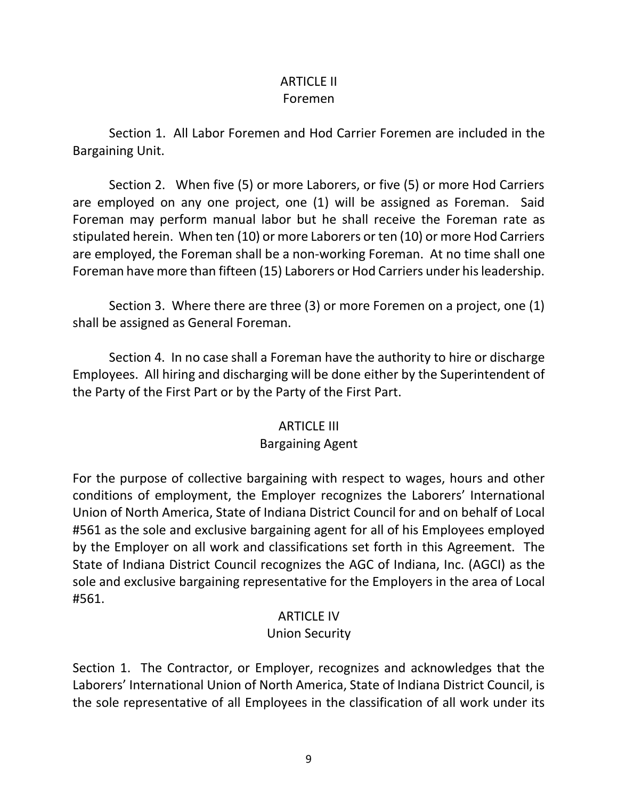### ARTICLE II Foremen

Section 1. All Labor Foremen and Hod Carrier Foremen are included in the Bargaining Unit.

Section 2. When five (5) or more Laborers, or five (5) or more Hod Carriers are employed on any one project, one (1) will be assigned as Foreman. Said Foreman may perform manual labor but he shall receive the Foreman rate as stipulated herein. When ten (10) or more Laborers or ten (10) or more Hod Carriers are employed, the Foreman shall be a non-working Foreman. At no time shall one Foreman have more than fifteen (15) Laborers or Hod Carriers under his leadership.

Section 3. Where there are three (3) or more Foremen on a project, one (1) shall be assigned as General Foreman.

Section 4. In no case shall a Foreman have the authority to hire or discharge Employees. All hiring and discharging will be done either by the Superintendent of the Party of the First Part or by the Party of the First Part.

### ARTICLE III

### Bargaining Agent

For the purpose of collective bargaining with respect to wages, hours and other conditions of employment, the Employer recognizes the Laborers' International Union of North America, State of Indiana District Council for and on behalf of Local #561 as the sole and exclusive bargaining agent for all of his Employees employed by the Employer on all work and classifications set forth in this Agreement. The State of Indiana District Council recognizes the AGC of Indiana, Inc. (AGCI) as the sole and exclusive bargaining representative for the Employers in the area of Local #561.

### ARTICLE IV

## Union Security

Section 1. The Contractor, or Employer, recognizes and acknowledges that the Laborers' International Union of North America, State of Indiana District Council, is the sole representative of all Employees in the classification of all work under its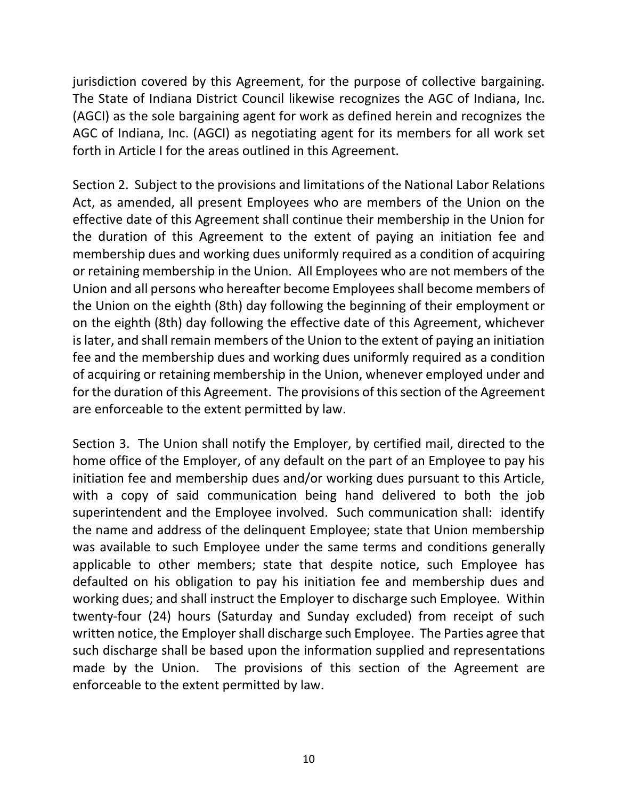jurisdiction covered by this Agreement, for the purpose of collective bargaining. The State of Indiana District Council likewise recognizes the AGC of Indiana, Inc. (AGCI) as the sole bargaining agent for work as defined herein and recognizes the AGC of Indiana, Inc. (AGCI) as negotiating agent for its members for all work set forth in Article I for the areas outlined in this Agreement.

Section 2. Subject to the provisions and limitations of the National Labor Relations Act, as amended, all present Employees who are members of the Union on the effective date of this Agreement shall continue their membership in the Union for the duration of this Agreement to the extent of paying an initiation fee and membership dues and working dues uniformly required as a condition of acquiring or retaining membership in the Union. All Employees who are not members of the Union and all persons who hereafter become Employees shall become members of the Union on the eighth (8th) day following the beginning of their employment or on the eighth (8th) day following the effective date of this Agreement, whichever is later, and shall remain members of the Union to the extent of paying an initiation fee and the membership dues and working dues uniformly required as a condition of acquiring or retaining membership in the Union, whenever employed under and for the duration of this Agreement. The provisions of this section of the Agreement are enforceable to the extent permitted by law.

Section 3. The Union shall notify the Employer, by certified mail, directed to the home office of the Employer, of any default on the part of an Employee to pay his initiation fee and membership dues and/or working dues pursuant to this Article, with a copy of said communication being hand delivered to both the job superintendent and the Employee involved. Such communication shall: identify the name and address of the delinquent Employee; state that Union membership was available to such Employee under the same terms and conditions generally applicable to other members; state that despite notice, such Employee has defaulted on his obligation to pay his initiation fee and membership dues and working dues; and shall instruct the Employer to discharge such Employee. Within twenty-four (24) hours (Saturday and Sunday excluded) from receipt of such written notice, the Employer shall discharge such Employee. The Parties agree that such discharge shall be based upon the information supplied and representations made by the Union. The provisions of this section of the Agreement are enforceable to the extent permitted by law.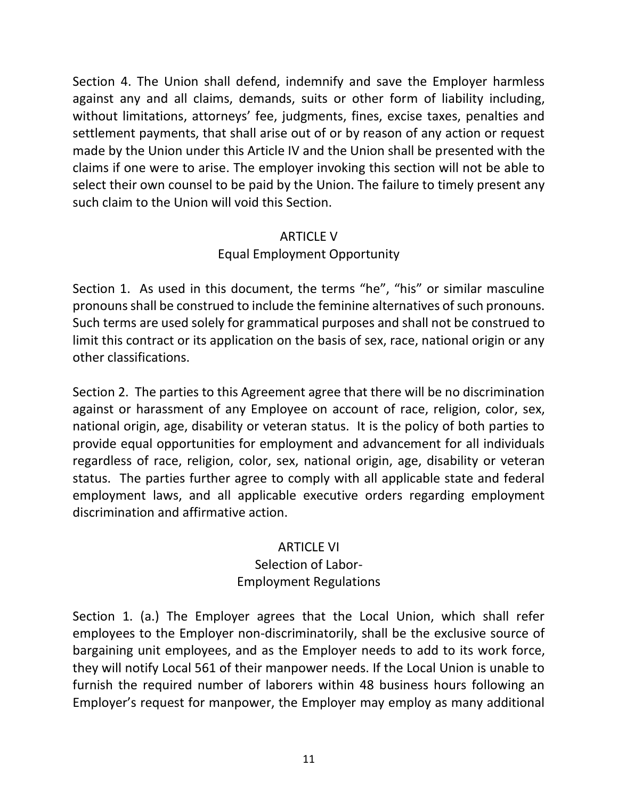Section 4. The Union shall defend, indemnify and save the Employer harmless against any and all claims, demands, suits or other form of liability including, without limitations, attorneys' fee, judgments, fines, excise taxes, penalties and settlement payments, that shall arise out of or by reason of any action or request made by the Union under this Article IV and the Union shall be presented with the claims if one were to arise. The employer invoking this section will not be able to select their own counsel to be paid by the Union. The failure to timely present any such claim to the Union will void this Section.

### ARTICLE V

## Equal Employment Opportunity

Section 1. As used in this document, the terms "he", "his" or similar masculine pronouns shall be construed to include the feminine alternatives of such pronouns. Such terms are used solely for grammatical purposes and shall not be construed to limit this contract or its application on the basis of sex, race, national origin or any other classifications.

Section 2. The parties to this Agreement agree that there will be no discrimination against or harassment of any Employee on account of race, religion, color, sex, national origin, age, disability or veteran status. It is the policy of both parties to provide equal opportunities for employment and advancement for all individuals regardless of race, religion, color, sex, national origin, age, disability or veteran status. The parties further agree to comply with all applicable state and federal employment laws, and all applicable executive orders regarding employment discrimination and affirmative action.

### ARTICLE VI

## Selection of Labor-Employment Regulations

Section 1. (a.) The Employer agrees that the Local Union, which shall refer employees to the Employer non-discriminatorily, shall be the exclusive source of bargaining unit employees, and as the Employer needs to add to its work force, they will notify Local 561 of their manpower needs. If the Local Union is unable to furnish the required number of laborers within 48 business hours following an Employer's request for manpower, the Employer may employ as many additional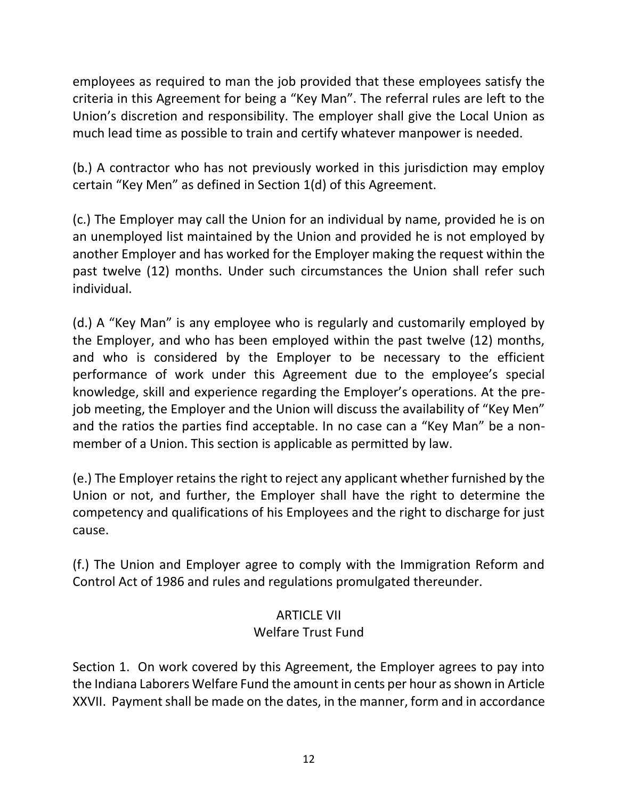employees as required to man the job provided that these employees satisfy the criteria in this Agreement for being a "Key Man". The referral rules are left to the Union's discretion and responsibility. The employer shall give the Local Union as much lead time as possible to train and certify whatever manpower is needed.

(b.) A contractor who has not previously worked in this jurisdiction may employ certain "Key Men" as defined in Section 1(d) of this Agreement.

(c.) The Employer may call the Union for an individual by name, provided he is on an unemployed list maintained by the Union and provided he is not employed by another Employer and has worked for the Employer making the request within the past twelve (12) months. Under such circumstances the Union shall refer such individual.

(d.) A "Key Man" is any employee who is regularly and customarily employed by the Employer, and who has been employed within the past twelve (12) months, and who is considered by the Employer to be necessary to the efficient performance of work under this Agreement due to the employee's special knowledge, skill and experience regarding the Employer's operations. At the prejob meeting, the Employer and the Union will discuss the availability of "Key Men" and the ratios the parties find acceptable. In no case can a "Key Man" be a nonmember of a Union. This section is applicable as permitted by law.

(e.) The Employer retains the right to reject any applicant whether furnished by the Union or not, and further, the Employer shall have the right to determine the competency and qualifications of his Employees and the right to discharge for just cause.

(f.) The Union and Employer agree to comply with the Immigration Reform and Control Act of 1986 and rules and regulations promulgated thereunder.

## ARTICLE VII

## Welfare Trust Fund

Section 1. On work covered by this Agreement, the Employer agrees to pay into the Indiana Laborers Welfare Fund the amount in cents per hour as shown in Article XXVII. Payment shall be made on the dates, in the manner, form and in accordance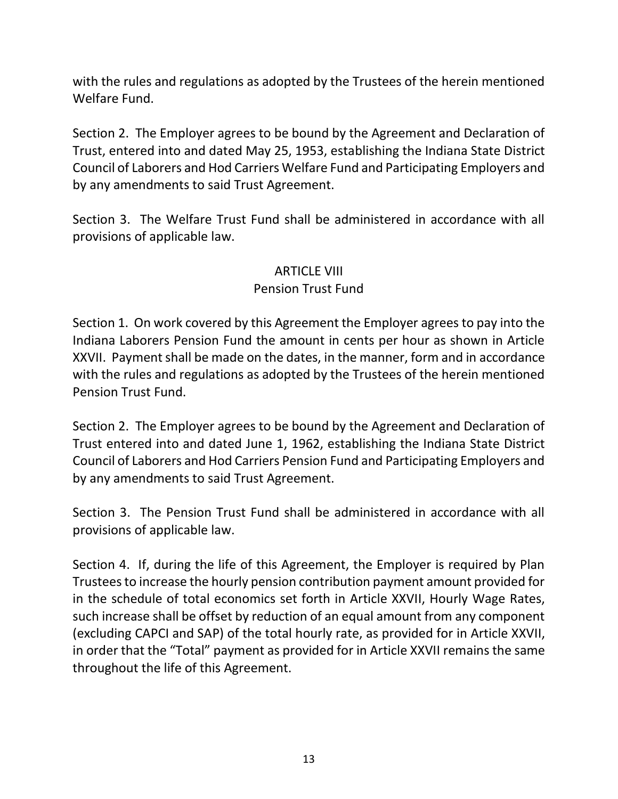with the rules and regulations as adopted by the Trustees of the herein mentioned Welfare Fund.

Section 2. The Employer agrees to be bound by the Agreement and Declaration of Trust, entered into and dated May 25, 1953, establishing the Indiana State District Council of Laborers and Hod Carriers Welfare Fund and Participating Employers and by any amendments to said Trust Agreement.

Section 3. The Welfare Trust Fund shall be administered in accordance with all provisions of applicable law.

### ARTICLE VIII

### Pension Trust Fund

Section 1. On work covered by this Agreement the Employer agrees to pay into the Indiana Laborers Pension Fund the amount in cents per hour as shown in Article XXVII. Payment shall be made on the dates, in the manner, form and in accordance with the rules and regulations as adopted by the Trustees of the herein mentioned Pension Trust Fund.

Section 2. The Employer agrees to be bound by the Agreement and Declaration of Trust entered into and dated June 1, 1962, establishing the Indiana State District Council of Laborers and Hod Carriers Pension Fund and Participating Employers and by any amendments to said Trust Agreement.

Section 3. The Pension Trust Fund shall be administered in accordance with all provisions of applicable law.

Section 4. If, during the life of this Agreement, the Employer is required by Plan Trustees to increase the hourly pension contribution payment amount provided for in the schedule of total economics set forth in Article XXVII, Hourly Wage Rates, such increase shall be offset by reduction of an equal amount from any component (excluding CAPCI and SAP) of the total hourly rate, as provided for in Article XXVII, in order that the "Total" payment as provided for in Article XXVII remains the same throughout the life of this Agreement.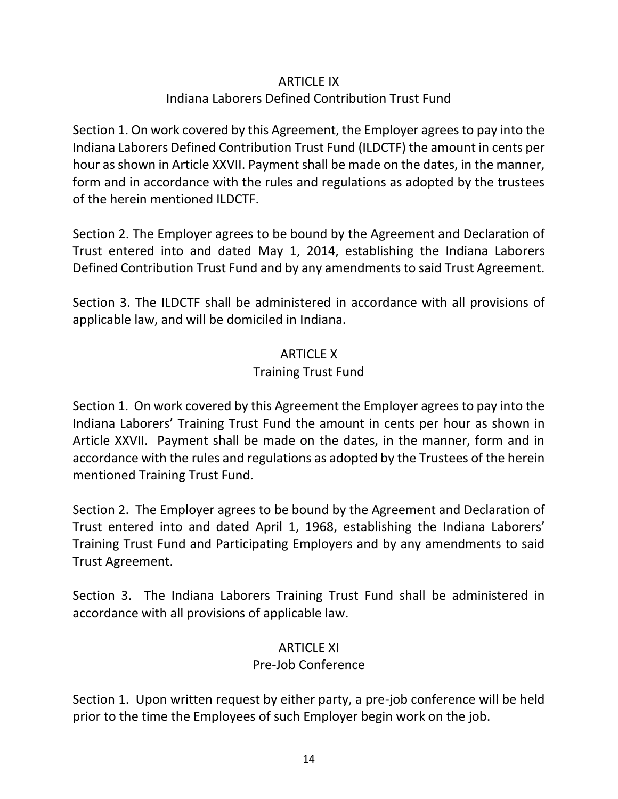### ARTICLE IX

## Indiana Laborers Defined Contribution Trust Fund

Section 1. On work covered by this Agreement, the Employer agrees to pay into the Indiana Laborers Defined Contribution Trust Fund (ILDCTF) the amount in cents per hour as shown in Article XXVII. Payment shall be made on the dates, in the manner, form and in accordance with the rules and regulations as adopted by the trustees of the herein mentioned ILDCTF.

Section 2. The Employer agrees to be bound by the Agreement and Declaration of Trust entered into and dated May 1, 2014, establishing the Indiana Laborers Defined Contribution Trust Fund and by any amendments to said Trust Agreement.

Section 3. The ILDCTF shall be administered in accordance with all provisions of applicable law, and will be domiciled in Indiana.

### ARTICLE X

### Training Trust Fund

Section 1. On work covered by this Agreement the Employer agrees to pay into the Indiana Laborers' Training Trust Fund the amount in cents per hour as shown in Article XXVII. Payment shall be made on the dates, in the manner, form and in accordance with the rules and regulations as adopted by the Trustees of the herein mentioned Training Trust Fund.

Section 2. The Employer agrees to be bound by the Agreement and Declaration of Trust entered into and dated April 1, 1968, establishing the Indiana Laborers' Training Trust Fund and Participating Employers and by any amendments to said Trust Agreement.

Section 3. The Indiana Laborers Training Trust Fund shall be administered in accordance with all provisions of applicable law.

## ARTICLE XI

### Pre-Job Conference

Section 1. Upon written request by either party, a pre-job conference will be held prior to the time the Employees of such Employer begin work on the job.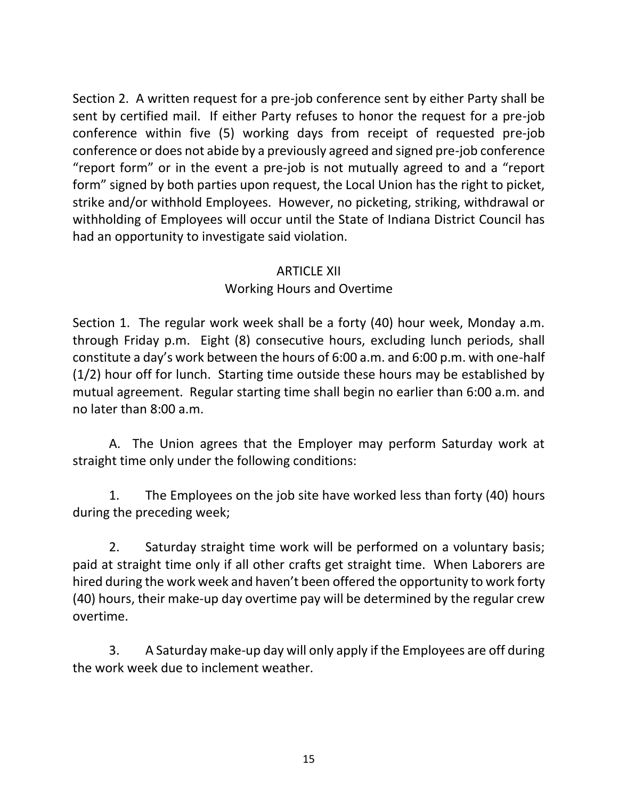Section 2. A written request for a pre-job conference sent by either Party shall be sent by certified mail. If either Party refuses to honor the request for a pre-job conference within five (5) working days from receipt of requested pre-job conference or does not abide by a previously agreed and signed pre-job conference "report form" or in the event a pre-job is not mutually agreed to and a "report form" signed by both parties upon request, the Local Union has the right to picket, strike and/or withhold Employees. However, no picketing, striking, withdrawal or withholding of Employees will occur until the State of Indiana District Council has had an opportunity to investigate said violation.

### ARTICLE XII

## Working Hours and Overtime

Section 1. The regular work week shall be a forty (40) hour week, Monday a.m. through Friday p.m. Eight (8) consecutive hours, excluding lunch periods, shall constitute a day's work between the hours of 6:00 a.m. and 6:00 p.m. with one-half (1/2) hour off for lunch. Starting time outside these hours may be established by mutual agreement. Regular starting time shall begin no earlier than 6:00 a.m. and no later than 8:00 a.m.

A. The Union agrees that the Employer may perform Saturday work at straight time only under the following conditions:

1. The Employees on the job site have worked less than forty (40) hours during the preceding week;

2. Saturday straight time work will be performed on a voluntary basis; paid at straight time only if all other crafts get straight time. When Laborers are hired during the work week and haven't been offered the opportunity to work forty (40) hours, their make-up day overtime pay will be determined by the regular crew overtime.

3. A Saturday make-up day will only apply if the Employees are off during the work week due to inclement weather.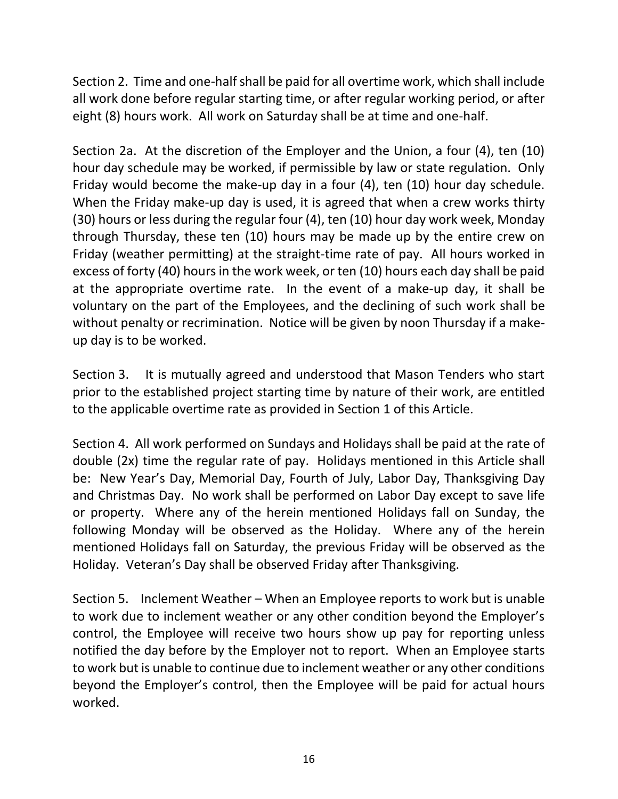Section 2. Time and one-half shall be paid for all overtime work, which shall include all work done before regular starting time, or after regular working period, or after eight (8) hours work. All work on Saturday shall be at time and one-half.

Section 2a. At the discretion of the Employer and the Union, a four (4), ten (10) hour day schedule may be worked, if permissible by law or state regulation. Only Friday would become the make-up day in a four (4), ten (10) hour day schedule. When the Friday make-up day is used, it is agreed that when a crew works thirty (30) hours or less during the regular four (4), ten (10) hour day work week, Monday through Thursday, these ten (10) hours may be made up by the entire crew on Friday (weather permitting) at the straight-time rate of pay. All hours worked in excess of forty (40) hours in the work week, or ten (10) hours each day shall be paid at the appropriate overtime rate. In the event of a make-up day, it shall be voluntary on the part of the Employees, and the declining of such work shall be without penalty or recrimination. Notice will be given by noon Thursday if a makeup day is to be worked.

Section 3. It is mutually agreed and understood that Mason Tenders who start prior to the established project starting time by nature of their work, are entitled to the applicable overtime rate as provided in Section 1 of this Article.

Section 4. All work performed on Sundays and Holidays shall be paid at the rate of double (2x) time the regular rate of pay. Holidays mentioned in this Article shall be: New Year's Day, Memorial Day, Fourth of July, Labor Day, Thanksgiving Day and Christmas Day. No work shall be performed on Labor Day except to save life or property. Where any of the herein mentioned Holidays fall on Sunday, the following Monday will be observed as the Holiday. Where any of the herein mentioned Holidays fall on Saturday, the previous Friday will be observed as the Holiday. Veteran's Day shall be observed Friday after Thanksgiving.

Section 5. Inclement Weather – When an Employee reports to work but is unable to work due to inclement weather or any other condition beyond the Employer's control, the Employee will receive two hours show up pay for reporting unless notified the day before by the Employer not to report. When an Employee starts to work but is unable to continue due to inclement weather or any other conditions beyond the Employer's control, then the Employee will be paid for actual hours worked.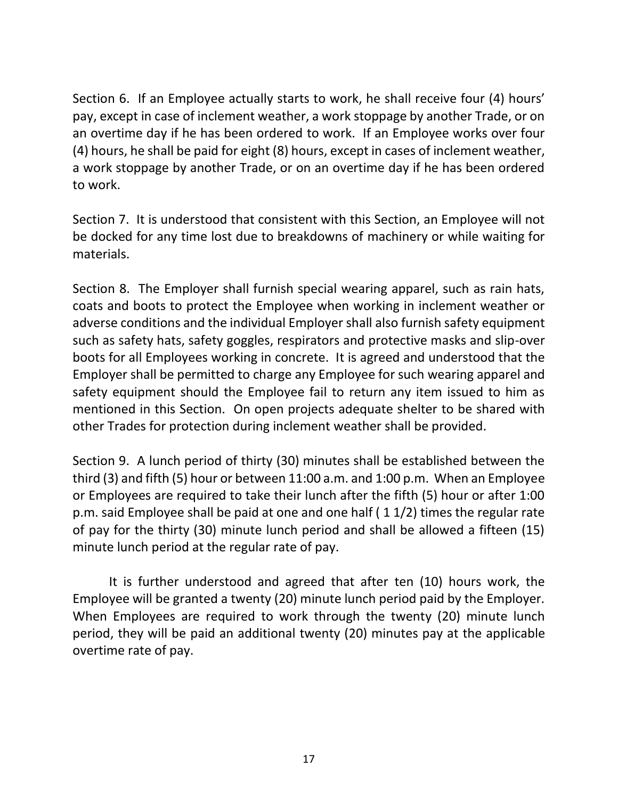Section 6. If an Employee actually starts to work, he shall receive four (4) hours' pay, except in case of inclement weather, a work stoppage by another Trade, or on an overtime day if he has been ordered to work. If an Employee works over four (4) hours, he shall be paid for eight (8) hours, except in cases of inclement weather, a work stoppage by another Trade, or on an overtime day if he has been ordered to work.

Section 7. It is understood that consistent with this Section, an Employee will not be docked for any time lost due to breakdowns of machinery or while waiting for materials.

Section 8. The Employer shall furnish special wearing apparel, such as rain hats, coats and boots to protect the Employee when working in inclement weather or adverse conditions and the individual Employer shall also furnish safety equipment such as safety hats, safety goggles, respirators and protective masks and slip-over boots for all Employees working in concrete. It is agreed and understood that the Employer shall be permitted to charge any Employee for such wearing apparel and safety equipment should the Employee fail to return any item issued to him as mentioned in this Section. On open projects adequate shelter to be shared with other Trades for protection during inclement weather shall be provided.

Section 9. A lunch period of thirty (30) minutes shall be established between the third (3) and fifth (5) hour or between 11:00 a.m. and 1:00 p.m. When an Employee or Employees are required to take their lunch after the fifth (5) hour or after 1:00 p.m. said Employee shall be paid at one and one half ( 1 1/2) times the regular rate of pay for the thirty (30) minute lunch period and shall be allowed a fifteen (15) minute lunch period at the regular rate of pay.

It is further understood and agreed that after ten (10) hours work, the Employee will be granted a twenty (20) minute lunch period paid by the Employer. When Employees are required to work through the twenty (20) minute lunch period, they will be paid an additional twenty (20) minutes pay at the applicable overtime rate of pay.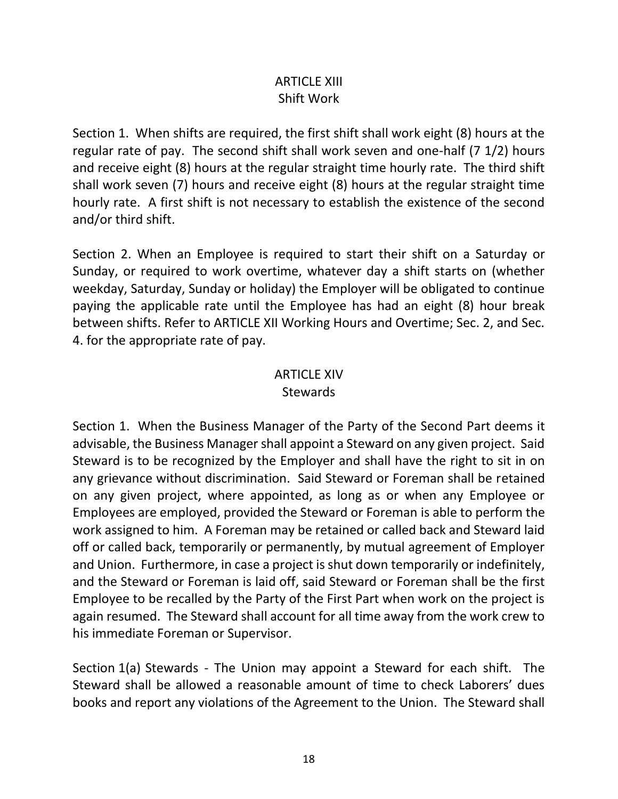## ARTICLE XIII Shift Work

Section 1. When shifts are required, the first shift shall work eight (8) hours at the regular rate of pay. The second shift shall work seven and one-half (7 1/2) hours and receive eight (8) hours at the regular straight time hourly rate. The third shift shall work seven (7) hours and receive eight (8) hours at the regular straight time hourly rate. A first shift is not necessary to establish the existence of the second and/or third shift.

Section 2. When an Employee is required to start their shift on a Saturday or Sunday, or required to work overtime, whatever day a shift starts on (whether weekday, Saturday, Sunday or holiday) the Employer will be obligated to continue paying the applicable rate until the Employee has had an eight (8) hour break between shifts. Refer to ARTICLE XII Working Hours and Overtime; Sec. 2, and Sec. 4. for the appropriate rate of pay.

# ARTICLE XIV

### **Stewards**

Section 1. When the Business Manager of the Party of the Second Part deems it advisable, the Business Manager shall appoint a Steward on any given project. Said Steward is to be recognized by the Employer and shall have the right to sit in on any grievance without discrimination. Said Steward or Foreman shall be retained on any given project, where appointed, as long as or when any Employee or Employees are employed, provided the Steward or Foreman is able to perform the work assigned to him. A Foreman may be retained or called back and Steward laid off or called back, temporarily or permanently, by mutual agreement of Employer and Union. Furthermore, in case a project is shut down temporarily or indefinitely, and the Steward or Foreman is laid off, said Steward or Foreman shall be the first Employee to be recalled by the Party of the First Part when work on the project is again resumed. The Steward shall account for all time away from the work crew to his immediate Foreman or Supervisor.

Section 1(a) Stewards - The Union may appoint a Steward for each shift. The Steward shall be allowed a reasonable amount of time to check Laborers' dues books and report any violations of the Agreement to the Union. The Steward shall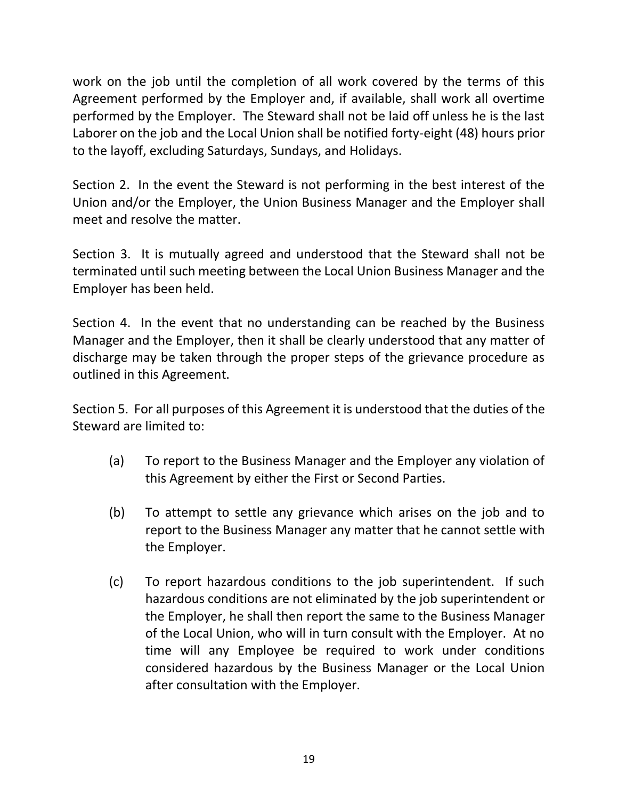work on the job until the completion of all work covered by the terms of this Agreement performed by the Employer and, if available, shall work all overtime performed by the Employer. The Steward shall not be laid off unless he is the last Laborer on the job and the Local Union shall be notified forty-eight (48) hours prior to the layoff, excluding Saturdays, Sundays, and Holidays.

Section 2. In the event the Steward is not performing in the best interest of the Union and/or the Employer, the Union Business Manager and the Employer shall meet and resolve the matter.

Section 3. It is mutually agreed and understood that the Steward shall not be terminated until such meeting between the Local Union Business Manager and the Employer has been held.

Section 4. In the event that no understanding can be reached by the Business Manager and the Employer, then it shall be clearly understood that any matter of discharge may be taken through the proper steps of the grievance procedure as outlined in this Agreement.

Section 5. For all purposes of this Agreement it is understood that the duties of the Steward are limited to:

- (a) To report to the Business Manager and the Employer any violation of this Agreement by either the First or Second Parties.
- (b) To attempt to settle any grievance which arises on the job and to report to the Business Manager any matter that he cannot settle with the Employer.
- (c) To report hazardous conditions to the job superintendent. If such hazardous conditions are not eliminated by the job superintendent or the Employer, he shall then report the same to the Business Manager of the Local Union, who will in turn consult with the Employer. At no time will any Employee be required to work under conditions considered hazardous by the Business Manager or the Local Union after consultation with the Employer.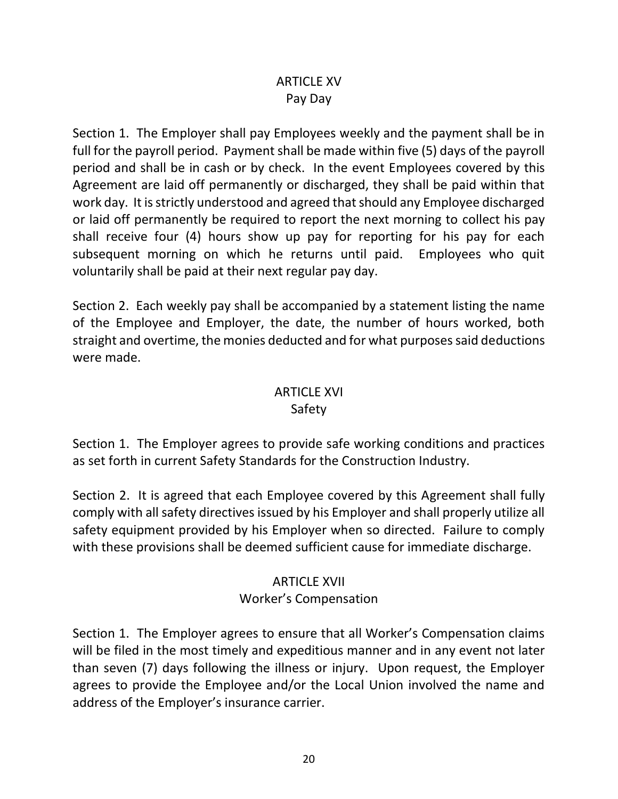## ARTICLE XV Pay Day

Section 1. The Employer shall pay Employees weekly and the payment shall be in full for the payroll period. Payment shall be made within five (5) days of the payroll period and shall be in cash or by check. In the event Employees covered by this Agreement are laid off permanently or discharged, they shall be paid within that work day. It is strictly understood and agreed that should any Employee discharged or laid off permanently be required to report the next morning to collect his pay shall receive four (4) hours show up pay for reporting for his pay for each subsequent morning on which he returns until paid. Employees who quit voluntarily shall be paid at their next regular pay day.

Section 2. Each weekly pay shall be accompanied by a statement listing the name of the Employee and Employer, the date, the number of hours worked, both straight and overtime, the monies deducted and for what purposes said deductions were made.

# ARTICLE XVI

## Safety

Section 1. The Employer agrees to provide safe working conditions and practices as set forth in current Safety Standards for the Construction Industry.

Section 2. It is agreed that each Employee covered by this Agreement shall fully comply with all safety directives issued by his Employer and shall properly utilize all safety equipment provided by his Employer when so directed. Failure to comply with these provisions shall be deemed sufficient cause for immediate discharge.

## ARTICLE XVII Worker's Compensation

Section 1. The Employer agrees to ensure that all Worker's Compensation claims will be filed in the most timely and expeditious manner and in any event not later than seven (7) days following the illness or injury. Upon request, the Employer agrees to provide the Employee and/or the Local Union involved the name and address of the Employer's insurance carrier.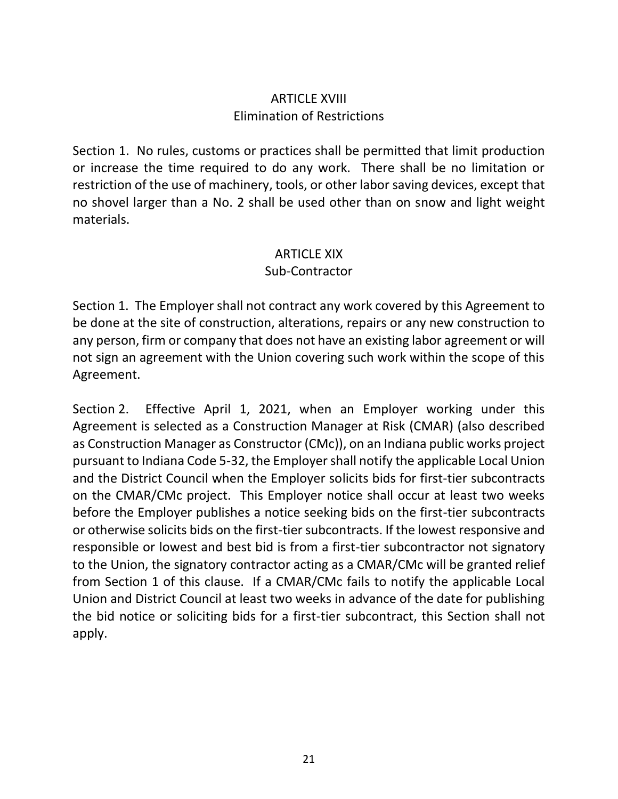## ARTICLE XVIII Elimination of Restrictions

Section 1. No rules, customs or practices shall be permitted that limit production or increase the time required to do any work. There shall be no limitation or restriction of the use of machinery, tools, or other labor saving devices, except that no shovel larger than a No. 2 shall be used other than on snow and light weight materials.

### ARTICLE XIX

### Sub-Contractor

Section 1. The Employer shall not contract any work covered by this Agreement to be done at the site of construction, alterations, repairs or any new construction to any person, firm or company that does not have an existing labor agreement or will not sign an agreement with the Union covering such work within the scope of this Agreement.

Section 2. Effective April 1, 2021, when an Employer working under this Agreement is selected as a Construction Manager at Risk (CMAR) (also described as Construction Manager as Constructor (CMc)), on an Indiana public works project pursuant to Indiana Code 5-32, the Employer shall notify the applicable Local Union and the District Council when the Employer solicits bids for first-tier subcontracts on the CMAR/CMc project. This Employer notice shall occur at least two weeks before the Employer publishes a notice seeking bids on the first-tier subcontracts or otherwise solicits bids on the first-tier subcontracts. If the lowest responsive and responsible or lowest and best bid is from a first-tier subcontractor not signatory to the Union, the signatory contractor acting as a CMAR/CMc will be granted relief from Section 1 of this clause. If a CMAR/CMc fails to notify the applicable Local Union and District Council at least two weeks in advance of the date for publishing the bid notice or soliciting bids for a first-tier subcontract, this Section shall not apply.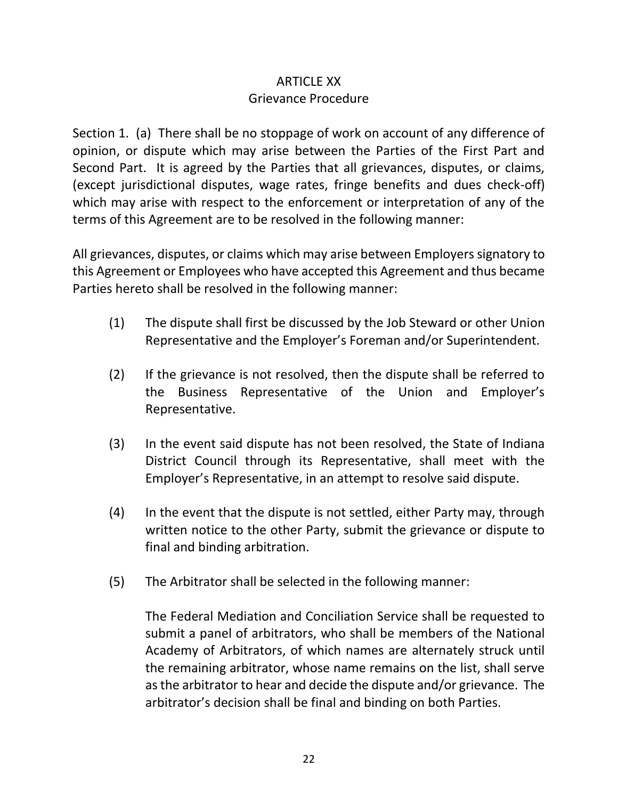## ARTICLE XX Grievance Procedure

Section 1. (a) There shall be no stoppage of work on account of any difference of opinion, or dispute which may arise between the Parties of the First Part and Second Part. It is agreed by the Parties that all grievances, disputes, or claims, (except jurisdictional disputes, wage rates, fringe benefits and dues check-off) which may arise with respect to the enforcement or interpretation of any of the terms of this Agreement are to be resolved in the following manner:

All grievances, disputes, or claims which may arise between Employers signatory to this Agreement or Employees who have accepted this Agreement and thus became Parties hereto shall be resolved in the following manner:

- (1) The dispute shall first be discussed by the Job Steward or other Union Representative and the Employer's Foreman and/or Superintendent.
- (2) If the grievance is not resolved, then the dispute shall be referred to the Business Representative of the Union and Employer's Representative.
- (3) In the event said dispute has not been resolved, the State of Indiana District Council through its Representative, shall meet with the Employer's Representative, in an attempt to resolve said dispute.
- (4) In the event that the dispute is not settled, either Party may, through written notice to the other Party, submit the grievance or dispute to final and binding arbitration.
- (5) The Arbitrator shall be selected in the following manner:

The Federal Mediation and Conciliation Service shall be requested to submit a panel of arbitrators, who shall be members of the National Academy of Arbitrators, of which names are alternately struck until the remaining arbitrator, whose name remains on the list, shall serve as the arbitrator to hear and decide the dispute and/or grievance. The arbitrator's decision shall be final and binding on both Parties.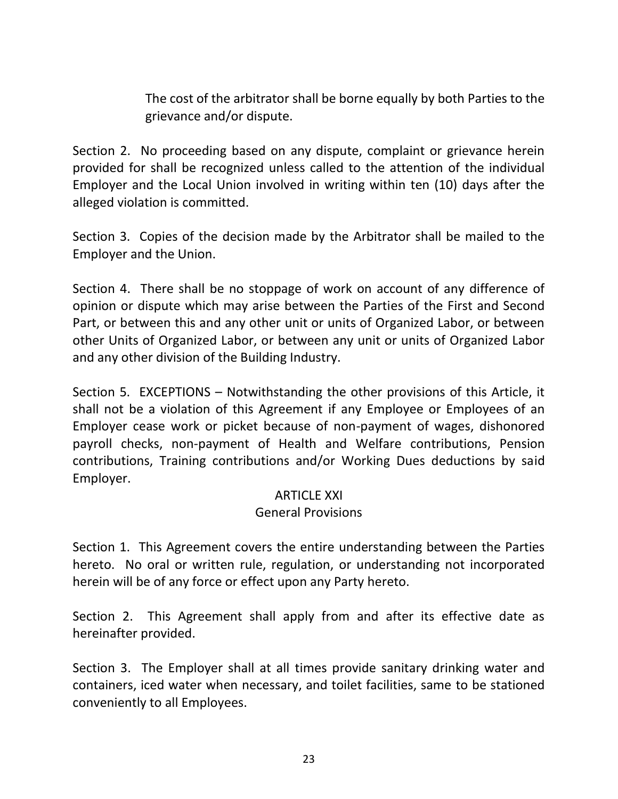The cost of the arbitrator shall be borne equally by both Parties to the grievance and/or dispute.

Section 2. No proceeding based on any dispute, complaint or grievance herein provided for shall be recognized unless called to the attention of the individual Employer and the Local Union involved in writing within ten (10) days after the alleged violation is committed.

Section 3. Copies of the decision made by the Arbitrator shall be mailed to the Employer and the Union.

Section 4. There shall be no stoppage of work on account of any difference of opinion or dispute which may arise between the Parties of the First and Second Part, or between this and any other unit or units of Organized Labor, or between other Units of Organized Labor, or between any unit or units of Organized Labor and any other division of the Building Industry.

Section 5. EXCEPTIONS – Notwithstanding the other provisions of this Article, it shall not be a violation of this Agreement if any Employee or Employees of an Employer cease work or picket because of non-payment of wages, dishonored payroll checks, non-payment of Health and Welfare contributions, Pension contributions, Training contributions and/or Working Dues deductions by said Employer.

#### ARTICLE XXI General Provisions

Section 1. This Agreement covers the entire understanding between the Parties hereto. No oral or written rule, regulation, or understanding not incorporated herein will be of any force or effect upon any Party hereto.

Section 2. This Agreement shall apply from and after its effective date as hereinafter provided.

Section 3. The Employer shall at all times provide sanitary drinking water and containers, iced water when necessary, and toilet facilities, same to be stationed conveniently to all Employees.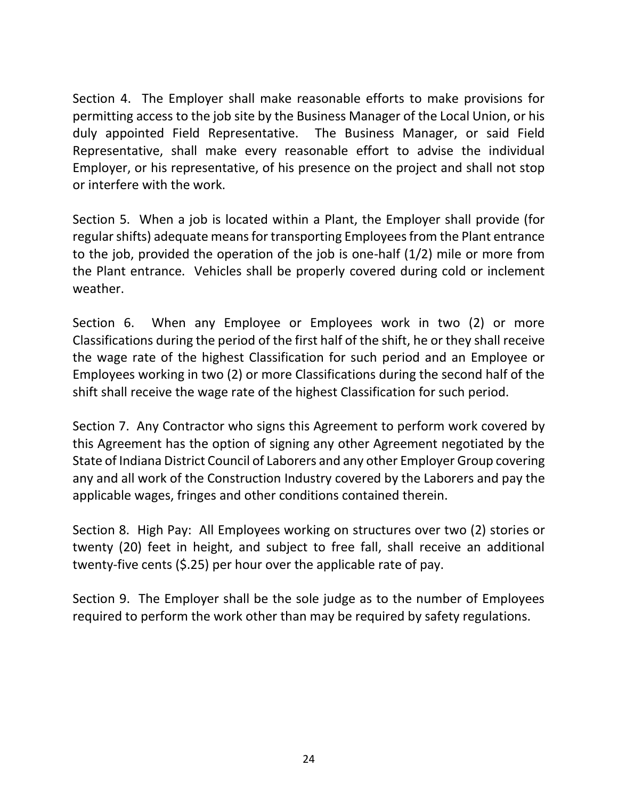Section 4. The Employer shall make reasonable efforts to make provisions for permitting access to the job site by the Business Manager of the Local Union, or his duly appointed Field Representative. The Business Manager, or said Field Representative, shall make every reasonable effort to advise the individual Employer, or his representative, of his presence on the project and shall not stop or interfere with the work.

Section 5. When a job is located within a Plant, the Employer shall provide (for regular shifts) adequate means for transporting Employees from the Plant entrance to the job, provided the operation of the job is one-half (1/2) mile or more from the Plant entrance. Vehicles shall be properly covered during cold or inclement weather.

Section 6. When any Employee or Employees work in two (2) or more Classifications during the period of the first half of the shift, he or they shall receive the wage rate of the highest Classification for such period and an Employee or Employees working in two (2) or more Classifications during the second half of the shift shall receive the wage rate of the highest Classification for such period.

Section 7. Any Contractor who signs this Agreement to perform work covered by this Agreement has the option of signing any other Agreement negotiated by the State of Indiana District Council of Laborers and any other Employer Group covering any and all work of the Construction Industry covered by the Laborers and pay the applicable wages, fringes and other conditions contained therein.

Section 8. High Pay: All Employees working on structures over two (2) stories or twenty (20) feet in height, and subject to free fall, shall receive an additional twenty-five cents (\$.25) per hour over the applicable rate of pay.

Section 9. The Employer shall be the sole judge as to the number of Employees required to perform the work other than may be required by safety regulations.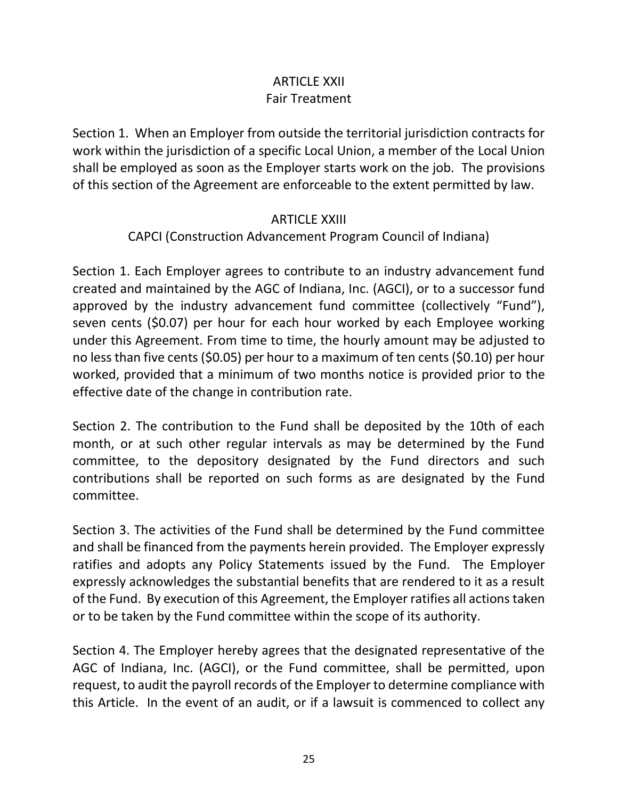## ARTICLE XXII Fair Treatment

Section 1. When an Employer from outside the territorial jurisdiction contracts for work within the jurisdiction of a specific Local Union, a member of the Local Union shall be employed as soon as the Employer starts work on the job. The provisions of this section of the Agreement are enforceable to the extent permitted by law.

#### ARTICLE XXIII

### CAPCI (Construction Advancement Program Council of Indiana)

Section 1. Each Employer agrees to contribute to an industry advancement fund created and maintained by the AGC of Indiana, Inc. (AGCI), or to a successor fund approved by the industry advancement fund committee (collectively "Fund"), seven cents (\$0.07) per hour for each hour worked by each Employee working under this Agreement. From time to time, the hourly amount may be adjusted to no less than five cents (\$0.05) per hour to a maximum of ten cents (\$0.10) per hour worked, provided that a minimum of two months notice is provided prior to the effective date of the change in contribution rate.

Section 2. The contribution to the Fund shall be deposited by the 10th of each month, or at such other regular intervals as may be determined by the Fund committee, to the depository designated by the Fund directors and such contributions shall be reported on such forms as are designated by the Fund committee.

Section 3. The activities of the Fund shall be determined by the Fund committee and shall be financed from the payments herein provided. The Employer expressly ratifies and adopts any Policy Statements issued by the Fund. The Employer expressly acknowledges the substantial benefits that are rendered to it as a result of the Fund. By execution of this Agreement, the Employer ratifies all actions taken or to be taken by the Fund committee within the scope of its authority.

Section 4. The Employer hereby agrees that the designated representative of the AGC of Indiana, Inc. (AGCI), or the Fund committee, shall be permitted, upon request, to audit the payroll records of the Employer to determine compliance with this Article. In the event of an audit, or if a lawsuit is commenced to collect any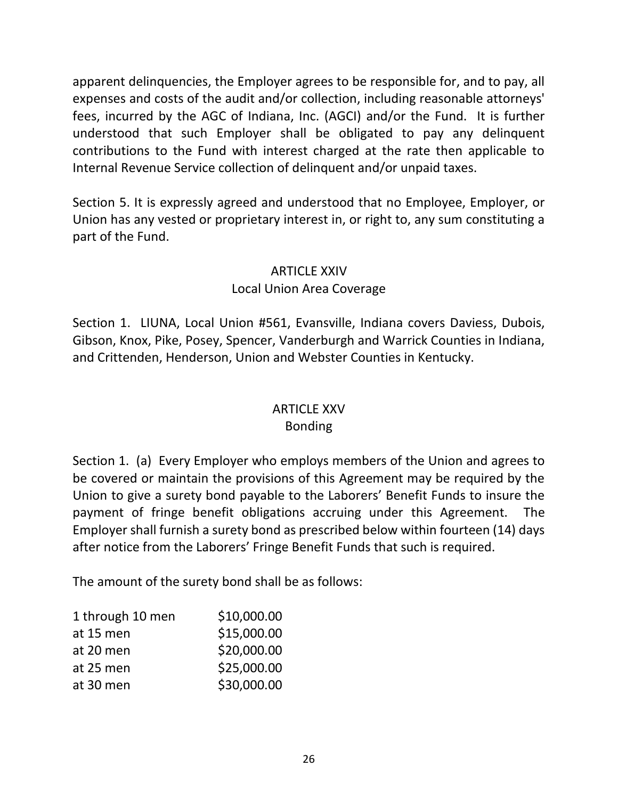apparent delinquencies, the Employer agrees to be responsible for, and to pay, all expenses and costs of the audit and/or collection, including reasonable attorneys' fees, incurred by the AGC of Indiana, Inc. (AGCI) and/or the Fund. It is further understood that such Employer shall be obligated to pay any delinquent contributions to the Fund with interest charged at the rate then applicable to Internal Revenue Service collection of delinquent and/or unpaid taxes.

Section 5. It is expressly agreed and understood that no Employee, Employer, or Union has any vested or proprietary interest in, or right to, any sum constituting a part of the Fund.

## ARTICLE XXIV

## Local Union Area Coverage

Section 1. LIUNA, Local Union #561, Evansville, Indiana covers Daviess, Dubois, Gibson, Knox, Pike, Posey, Spencer, Vanderburgh and Warrick Counties in Indiana, and Crittenden, Henderson, Union and Webster Counties in Kentucky.

# ARTICLE XXV

## Bonding

Section 1. (a) Every Employer who employs members of the Union and agrees to be covered or maintain the provisions of this Agreement may be required by the Union to give a surety bond payable to the Laborers' Benefit Funds to insure the payment of fringe benefit obligations accruing under this Agreement. The Employer shall furnish a surety bond as prescribed below within fourteen (14) days after notice from the Laborers' Fringe Benefit Funds that such is required.

The amount of the surety bond shall be as follows:

| 1 through 10 men | \$10,000.00 |
|------------------|-------------|
| at 15 men        | \$15,000.00 |
| at 20 men        | \$20,000.00 |
| at 25 men        | \$25,000.00 |
| at 30 men        | \$30,000.00 |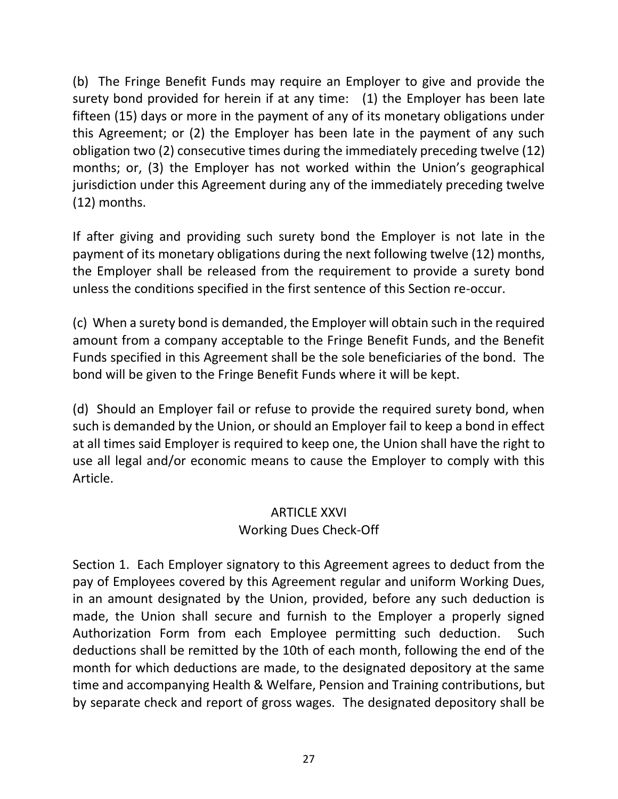(b) The Fringe Benefit Funds may require an Employer to give and provide the surety bond provided for herein if at any time: (1) the Employer has been late fifteen (15) days or more in the payment of any of its monetary obligations under this Agreement; or (2) the Employer has been late in the payment of any such obligation two (2) consecutive times during the immediately preceding twelve (12) months; or, (3) the Employer has not worked within the Union's geographical jurisdiction under this Agreement during any of the immediately preceding twelve (12) months.

If after giving and providing such surety bond the Employer is not late in the payment of its monetary obligations during the next following twelve (12) months, the Employer shall be released from the requirement to provide a surety bond unless the conditions specified in the first sentence of this Section re-occur.

(c) When a surety bond is demanded, the Employer will obtain such in the required amount from a company acceptable to the Fringe Benefit Funds, and the Benefit Funds specified in this Agreement shall be the sole beneficiaries of the bond. The bond will be given to the Fringe Benefit Funds where it will be kept.

(d) Should an Employer fail or refuse to provide the required surety bond, when such is demanded by the Union, or should an Employer fail to keep a bond in effect at all times said Employer is required to keep one, the Union shall have the right to use all legal and/or economic means to cause the Employer to comply with this Article.

#### **ARTICLE XXVI** Working Dues Check-Off

Section 1. Each Employer signatory to this Agreement agrees to deduct from the pay of Employees covered by this Agreement regular and uniform Working Dues, in an amount designated by the Union, provided, before any such deduction is made, the Union shall secure and furnish to the Employer a properly signed Authorization Form from each Employee permitting such deduction. Such deductions shall be remitted by the 10th of each month, following the end of the month for which deductions are made, to the designated depository at the same time and accompanying Health & Welfare, Pension and Training contributions, but by separate check and report of gross wages. The designated depository shall be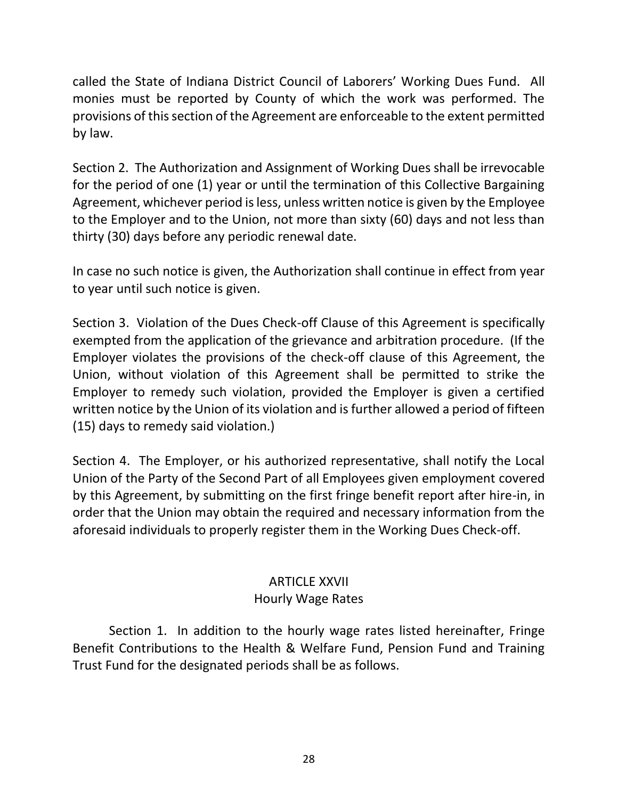called the State of Indiana District Council of Laborers' Working Dues Fund. All monies must be reported by County of which the work was performed. The provisions of this section of the Agreement are enforceable to the extent permitted by law.

Section 2. The Authorization and Assignment of Working Dues shall be irrevocable for the period of one (1) year or until the termination of this Collective Bargaining Agreement, whichever period is less, unless written notice is given by the Employee to the Employer and to the Union, not more than sixty (60) days and not less than thirty (30) days before any periodic renewal date.

In case no such notice is given, the Authorization shall continue in effect from year to year until such notice is given.

Section 3. Violation of the Dues Check-off Clause of this Agreement is specifically exempted from the application of the grievance and arbitration procedure. (If the Employer violates the provisions of the check-off clause of this Agreement, the Union, without violation of this Agreement shall be permitted to strike the Employer to remedy such violation, provided the Employer is given a certified written notice by the Union of its violation and is further allowed a period of fifteen (15) days to remedy said violation.)

Section 4. The Employer, or his authorized representative, shall notify the Local Union of the Party of the Second Part of all Employees given employment covered by this Agreement, by submitting on the first fringe benefit report after hire-in, in order that the Union may obtain the required and necessary information from the aforesaid individuals to properly register them in the Working Dues Check-off.

## ARTICLE XXVII Hourly Wage Rates

Section 1. In addition to the hourly wage rates listed hereinafter, Fringe Benefit Contributions to the Health & Welfare Fund, Pension Fund and Training Trust Fund for the designated periods shall be as follows.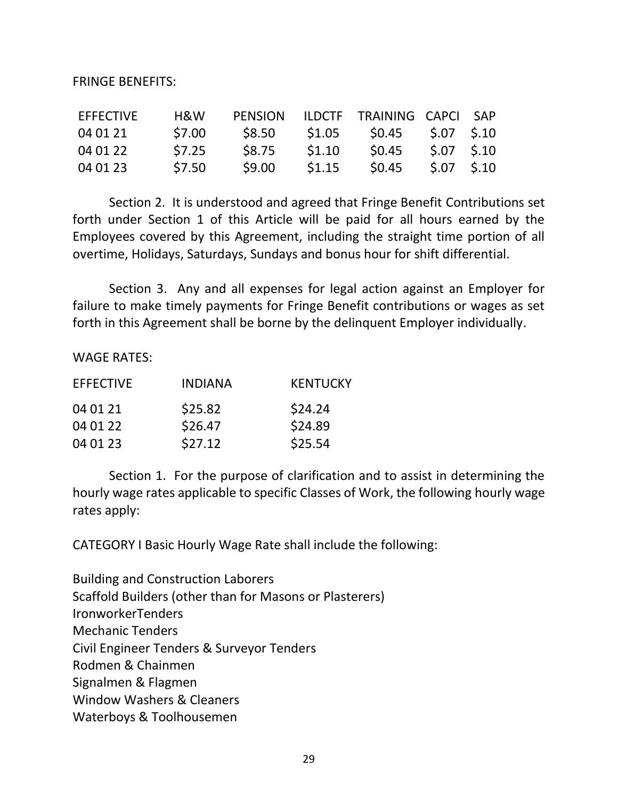FRINGE BENEFITS:

| <b>EFFECTIVE</b> | H&W    | <b>PENSION</b> |        | ILDCTF TRAINING CAPCI SAP |             |  |
|------------------|--------|----------------|--------|---------------------------|-------------|--|
| 04 01 21         | \$7.00 | \$8.50         | \$1.05 | \$0.45                    | \$.07 \$.10 |  |
| 04 01 22         | \$7.25 | <b>S8.75</b>   | \$1.10 | \$0.45                    | S.07 S.10   |  |
| 04 01 23         | \$7.50 | \$9.00         | \$1.15 | \$0.45                    | S.07 S.10   |  |

Section 2. It is understood and agreed that Fringe Benefit Contributions set forth under Section 1 of this Article will be paid for all hours earned by the Employees covered by this Agreement, including the straight time portion of all overtime, Holidays, Saturdays, Sundays and bonus hour for shift differential.

Section 3. Any and all expenses for legal action against an Employer for failure to make timely payments for Fringe Benefit contributions or wages as set forth in this Agreement shall be borne by the delinquent Employer individually.

WAGE RATES:

| <b>EFFECTIVE</b> | <b>INDIANA</b> | <b>KENTUCKY</b> |
|------------------|----------------|-----------------|
| 04 01 21         | \$25.82        | \$24.24         |
| 04 01 22         | \$26.47        | \$24.89         |
| 04 01 23         | \$27.12        | \$25.54         |

Section 1. For the purpose of clarification and to assist in determining the hourly wage rates applicable to specific Classes of Work, the following hourly wage rates apply:

CATEGORY I Basic Hourly Wage Rate shall include the following:

Building and Construction Laborers Scaffold Builders (other than for Masons or Plasterers) IronworkerTenders Mechanic Tenders Civil Engineer Tenders & Surveyor Tenders Rodmen & Chainmen Signalmen & Flagmen Window Washers & Cleaners Waterboys & Toolhousemen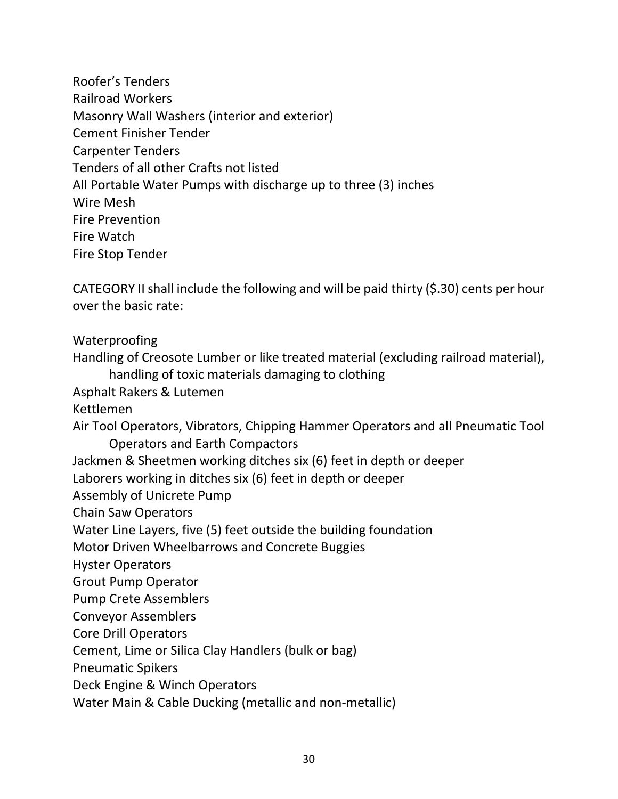Roofer's Tenders Railroad Workers Masonry Wall Washers (interior and exterior) Cement Finisher Tender Carpenter Tenders Tenders of all other Crafts not listed All Portable Water Pumps with discharge up to three (3) inches Wire Mesh Fire Prevention Fire Watch Fire Stop Tender

CATEGORY II shall include the following and will be paid thirty (\$.30) cents per hour over the basic rate:

Waterproofing

Handling of Creosote Lumber or like treated material (excluding railroad material), handling of toxic materials damaging to clothing

Asphalt Rakers & Lutemen

Kettlemen

Air Tool Operators, Vibrators, Chipping Hammer Operators and all Pneumatic Tool Operators and Earth Compactors

Jackmen & Sheetmen working ditches six (6) feet in depth or deeper

Laborers working in ditches six (6) feet in depth or deeper

Assembly of Unicrete Pump

Chain Saw Operators

Water Line Layers, five (5) feet outside the building foundation

Motor Driven Wheelbarrows and Concrete Buggies

Hyster Operators

Grout Pump Operator

Pump Crete Assemblers

Conveyor Assemblers

Core Drill Operators

Cement, Lime or Silica Clay Handlers (bulk or bag)

Pneumatic Spikers

Deck Engine & Winch Operators

Water Main & Cable Ducking (metallic and non-metallic)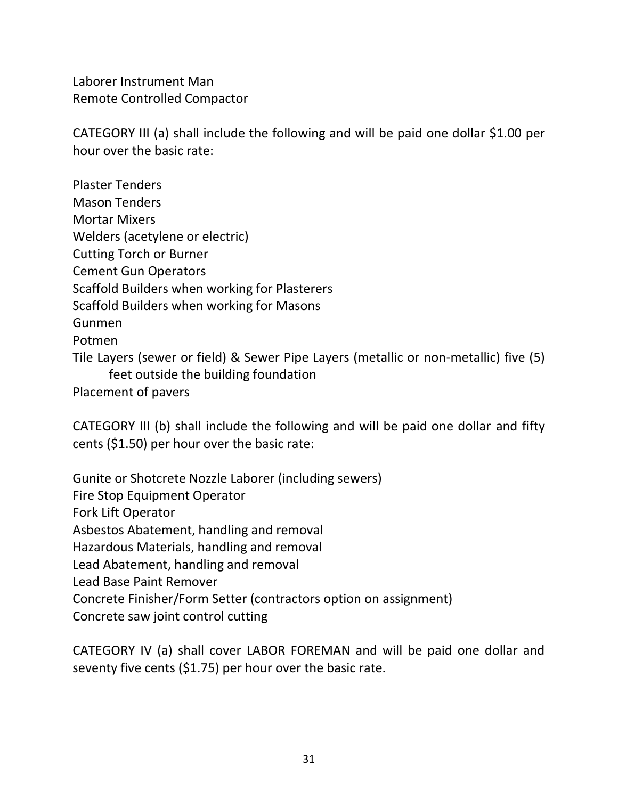Laborer Instrument Man Remote Controlled Compactor

CATEGORY III (a) shall include the following and will be paid one dollar \$1.00 per hour over the basic rate:

Plaster Tenders Mason Tenders Mortar Mixers Welders (acetylene or electric) Cutting Torch or Burner Cement Gun Operators Scaffold Builders when working for Plasterers Scaffold Builders when working for Masons Gunmen Potmen Tile Layers (sewer or field) & Sewer Pipe Layers (metallic or non-metallic) five (5) feet outside the building foundation Placement of pavers

CATEGORY III (b) shall include the following and will be paid one dollar and fifty cents (\$1.50) per hour over the basic rate:

Gunite or Shotcrete Nozzle Laborer (including sewers) Fire Stop Equipment Operator Fork Lift Operator Asbestos Abatement, handling and removal Hazardous Materials, handling and removal Lead Abatement, handling and removal Lead Base Paint Remover Concrete Finisher/Form Setter (contractors option on assignment) Concrete saw joint control cutting

CATEGORY IV (a) shall cover LABOR FOREMAN and will be paid one dollar and seventy five cents (\$1.75) per hour over the basic rate.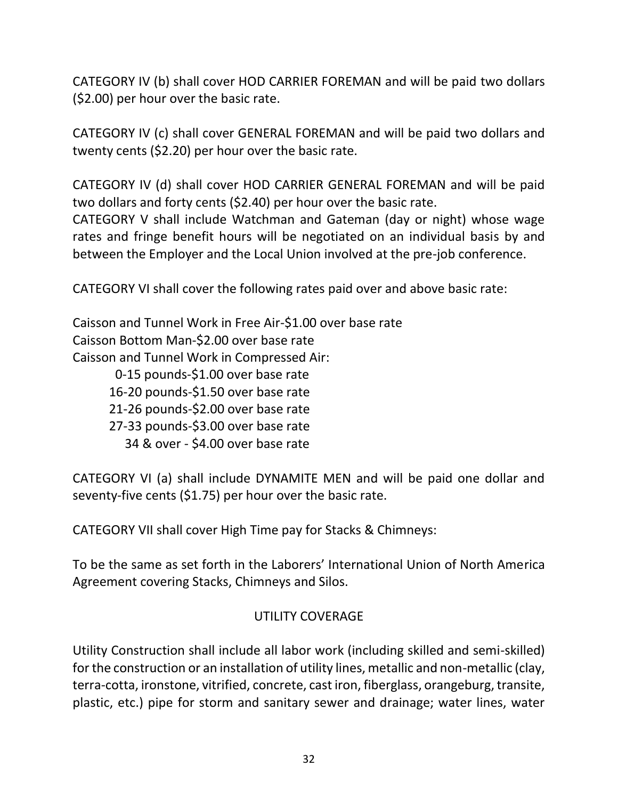CATEGORY IV (b) shall cover HOD CARRIER FOREMAN and will be paid two dollars (\$2.00) per hour over the basic rate.

CATEGORY IV (c) shall cover GENERAL FOREMAN and will be paid two dollars and twenty cents (\$2.20) per hour over the basic rate.

CATEGORY IV (d) shall cover HOD CARRIER GENERAL FOREMAN and will be paid two dollars and forty cents (\$2.40) per hour over the basic rate.

CATEGORY V shall include Watchman and Gateman (day or night) whose wage rates and fringe benefit hours will be negotiated on an individual basis by and between the Employer and the Local Union involved at the pre-job conference.

CATEGORY VI shall cover the following rates paid over and above basic rate:

Caisson and Tunnel Work in Free Air-\$1.00 over base rate Caisson Bottom Man-\$2.00 over base rate Caisson and Tunnel Work in Compressed Air: 0-15 pounds-\$1.00 over base rate 16-20 pounds-\$1.50 over base rate 21-26 pounds-\$2.00 over base rate

- 27-33 pounds-\$3.00 over base rate
	- 34 & over \$4.00 over base rate

CATEGORY VI (a) shall include DYNAMITE MEN and will be paid one dollar and seventy-five cents (\$1.75) per hour over the basic rate.

CATEGORY VII shall cover High Time pay for Stacks & Chimneys:

To be the same as set forth in the Laborers' International Union of North America Agreement covering Stacks, Chimneys and Silos.

### UTILITY COVERAGE

Utility Construction shall include all labor work (including skilled and semi-skilled) for the construction or an installation of utility lines, metallic and non-metallic (clay, terra-cotta, ironstone, vitrified, concrete, cast iron, fiberglass, orangeburg, transite, plastic, etc.) pipe for storm and sanitary sewer and drainage; water lines, water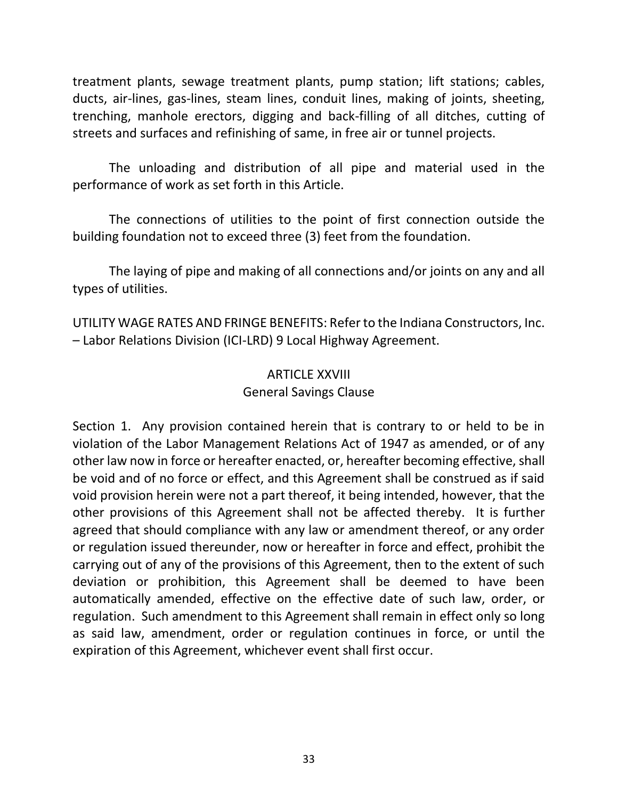treatment plants, sewage treatment plants, pump station; lift stations; cables, ducts, air-lines, gas-lines, steam lines, conduit lines, making of joints, sheeting, trenching, manhole erectors, digging and back-filling of all ditches, cutting of streets and surfaces and refinishing of same, in free air or tunnel projects.

The unloading and distribution of all pipe and material used in the performance of work as set forth in this Article.

The connections of utilities to the point of first connection outside the building foundation not to exceed three (3) feet from the foundation.

The laying of pipe and making of all connections and/or joints on any and all types of utilities.

UTILITY WAGE RATES AND FRINGE BENEFITS: Refer to the Indiana Constructors, Inc. – Labor Relations Division (ICI-LRD) 9 Local Highway Agreement.

## ARTICLE XXVIII General Savings Clause

Section 1. Any provision contained herein that is contrary to or held to be in violation of the Labor Management Relations Act of 1947 as amended, or of any other law now in force or hereafter enacted, or, hereafter becoming effective, shall be void and of no force or effect, and this Agreement shall be construed as if said void provision herein were not a part thereof, it being intended, however, that the other provisions of this Agreement shall not be affected thereby. It is further agreed that should compliance with any law or amendment thereof, or any order or regulation issued thereunder, now or hereafter in force and effect, prohibit the carrying out of any of the provisions of this Agreement, then to the extent of such deviation or prohibition, this Agreement shall be deemed to have been automatically amended, effective on the effective date of such law, order, or regulation. Such amendment to this Agreement shall remain in effect only so long as said law, amendment, order or regulation continues in force, or until the expiration of this Agreement, whichever event shall first occur.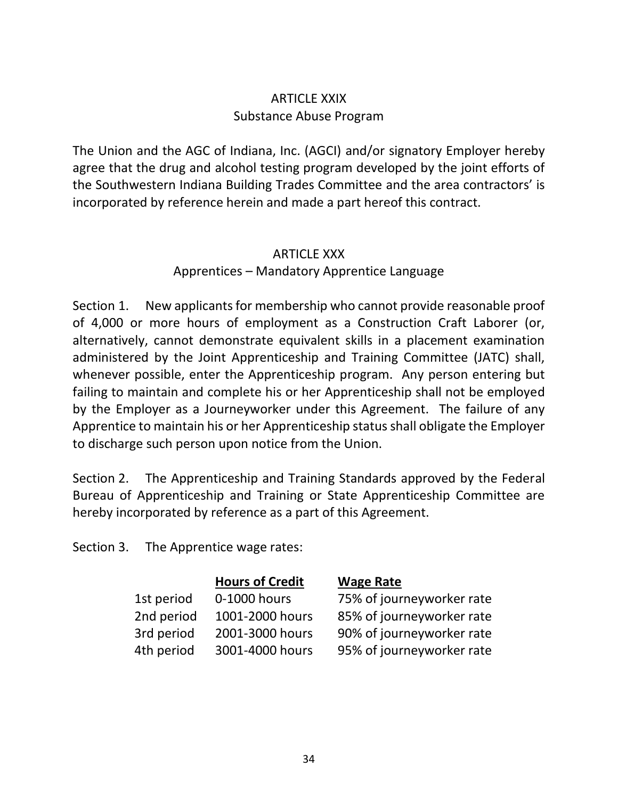## ARTICLE XXIX Substance Abuse Program

The Union and the AGC of Indiana, Inc. (AGCI) and/or signatory Employer hereby agree that the drug and alcohol testing program developed by the joint efforts of the Southwestern Indiana Building Trades Committee and the area contractors' is incorporated by reference herein and made a part hereof this contract.

## ARTICLE XXX

### Apprentices – Mandatory Apprentice Language

Section 1. New applicants for membership who cannot provide reasonable proof of 4,000 or more hours of employment as a Construction Craft Laborer (or, alternatively, cannot demonstrate equivalent skills in a placement examination administered by the Joint Apprenticeship and Training Committee (JATC) shall, whenever possible, enter the Apprenticeship program. Any person entering but failing to maintain and complete his or her Apprenticeship shall not be employed by the Employer as a Journeyworker under this Agreement. The failure of any Apprentice to maintain his or her Apprenticeship status shall obligate the Employer to discharge such person upon notice from the Union.

Section 2. The Apprenticeship and Training Standards approved by the Federal Bureau of Apprenticeship and Training or State Apprenticeship Committee are hereby incorporated by reference as a part of this Agreement.

Section 3. The Apprentice wage rates:

|            | <b>Hours of Credit</b> | <b>Wage Rate</b>          |
|------------|------------------------|---------------------------|
| 1st period | 0-1000 hours           | 75% of journeyworker rate |
| 2nd period | 1001-2000 hours        | 85% of journeyworker rate |
| 3rd period | 2001-3000 hours        | 90% of journeyworker rate |
| 4th period | 3001-4000 hours        | 95% of journeyworker rate |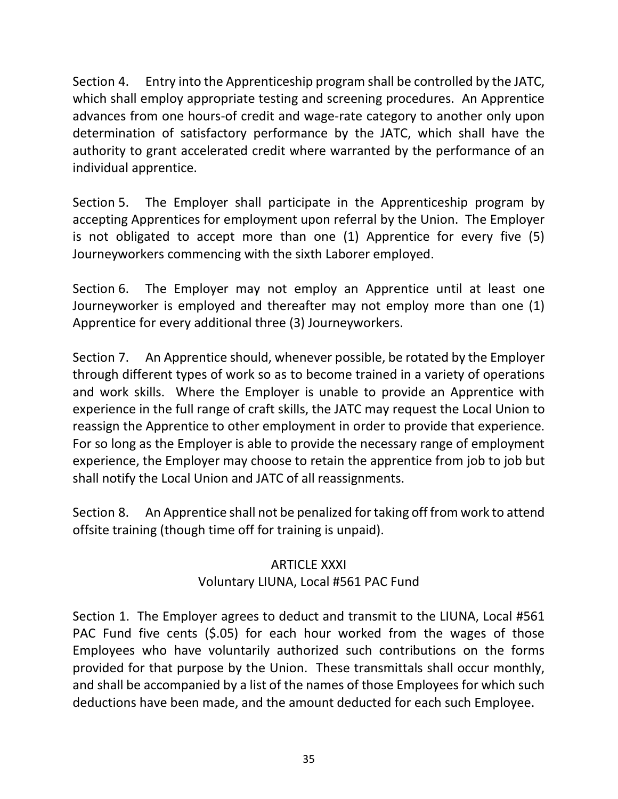Section 4. Entry into the Apprenticeship program shall be controlled by the JATC, which shall employ appropriate testing and screening procedures. An Apprentice advances from one hours-of credit and wage-rate category to another only upon determination of satisfactory performance by the JATC, which shall have the authority to grant accelerated credit where warranted by the performance of an individual apprentice.

Section 5. The Employer shall participate in the Apprenticeship program by accepting Apprentices for employment upon referral by the Union. The Employer is not obligated to accept more than one (1) Apprentice for every five (5) Journeyworkers commencing with the sixth Laborer employed.

Section 6. The Employer may not employ an Apprentice until at least one Journeyworker is employed and thereafter may not employ more than one (1) Apprentice for every additional three (3) Journeyworkers.

Section 7. An Apprentice should, whenever possible, be rotated by the Employer through different types of work so as to become trained in a variety of operations and work skills. Where the Employer is unable to provide an Apprentice with experience in the full range of craft skills, the JATC may request the Local Union to reassign the Apprentice to other employment in order to provide that experience. For so long as the Employer is able to provide the necessary range of employment experience, the Employer may choose to retain the apprentice from job to job but shall notify the Local Union and JATC of all reassignments.

Section 8. An Apprentice shall not be penalized for taking off from work to attend offsite training (though time off for training is unpaid).

## ARTICLE XXXI Voluntary LIUNA, Local #561 PAC Fund

Section 1. The Employer agrees to deduct and transmit to the LIUNA, Local #561 PAC Fund five cents (\$.05) for each hour worked from the wages of those Employees who have voluntarily authorized such contributions on the forms provided for that purpose by the Union. These transmittals shall occur monthly, and shall be accompanied by a list of the names of those Employees for which such deductions have been made, and the amount deducted for each such Employee.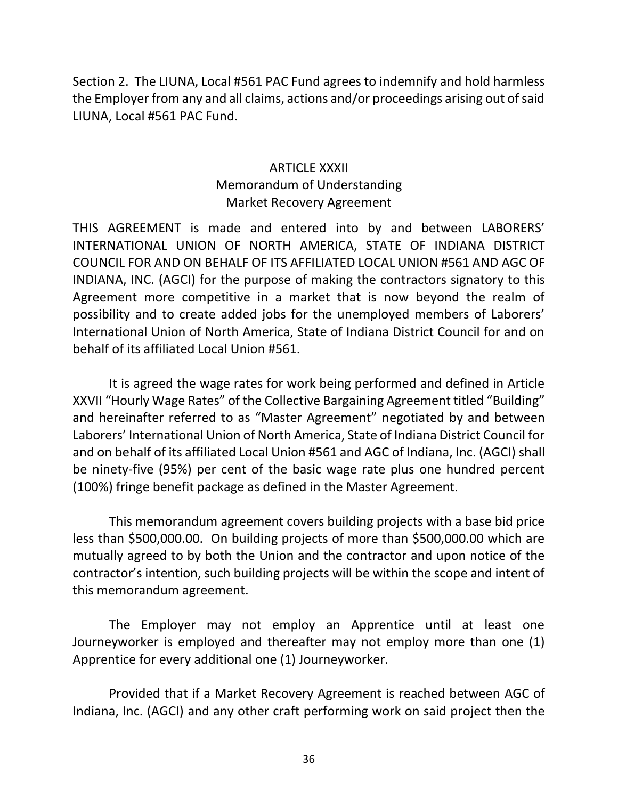Section 2. The LIUNA, Local #561 PAC Fund agrees to indemnify and hold harmless the Employer from any and all claims, actions and/or proceedings arising out of said LIUNA, Local #561 PAC Fund.

## ARTICLE XXXII Memorandum of Understanding Market Recovery Agreement

THIS AGREEMENT is made and entered into by and between LABORERS' INTERNATIONAL UNION OF NORTH AMERICA, STATE OF INDIANA DISTRICT COUNCIL FOR AND ON BEHALF OF ITS AFFILIATED LOCAL UNION #561 AND AGC OF INDIANA, INC. (AGCI) for the purpose of making the contractors signatory to this Agreement more competitive in a market that is now beyond the realm of possibility and to create added jobs for the unemployed members of Laborers' International Union of North America, State of Indiana District Council for and on behalf of its affiliated Local Union #561.

It is agreed the wage rates for work being performed and defined in Article XXVII "Hourly Wage Rates" of the Collective Bargaining Agreement titled "Building" and hereinafter referred to as "Master Agreement" negotiated by and between Laborers' International Union of North America, State of Indiana District Council for and on behalf of its affiliated Local Union #561 and AGC of Indiana, Inc. (AGCI) shall be ninety-five (95%) per cent of the basic wage rate plus one hundred percent (100%) fringe benefit package as defined in the Master Agreement.

This memorandum agreement covers building projects with a base bid price less than \$500,000.00. On building projects of more than \$500,000.00 which are mutually agreed to by both the Union and the contractor and upon notice of the contractor's intention, such building projects will be within the scope and intent of this memorandum agreement.

The Employer may not employ an Apprentice until at least one Journeyworker is employed and thereafter may not employ more than one (1) Apprentice for every additional one (1) Journeyworker.

Provided that if a Market Recovery Agreement is reached between AGC of Indiana, Inc. (AGCI) and any other craft performing work on said project then the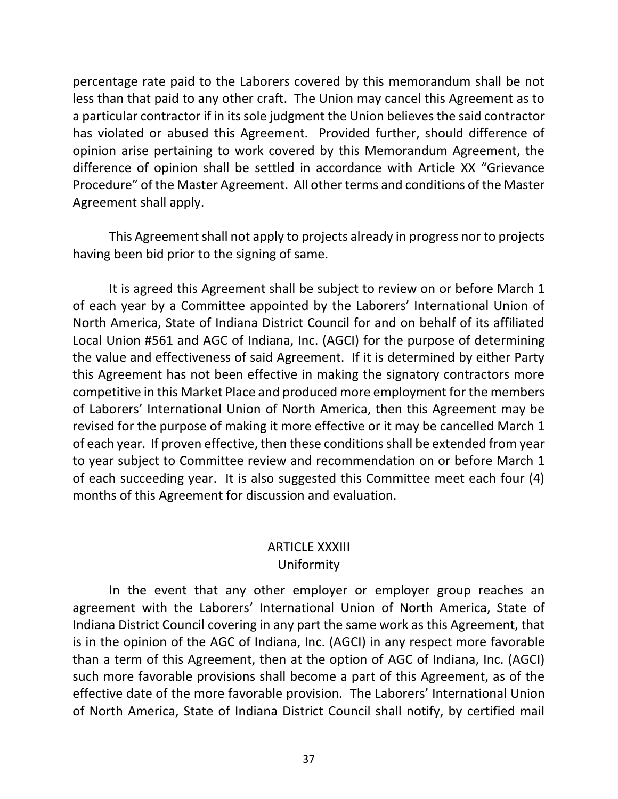percentage rate paid to the Laborers covered by this memorandum shall be not less than that paid to any other craft. The Union may cancel this Agreement as to a particular contractor if in its sole judgment the Union believes the said contractor has violated or abused this Agreement. Provided further, should difference of opinion arise pertaining to work covered by this Memorandum Agreement, the difference of opinion shall be settled in accordance with Article XX "Grievance Procedure" of the Master Agreement. All other terms and conditions of the Master Agreement shall apply.

This Agreement shall not apply to projects already in progress nor to projects having been bid prior to the signing of same.

It is agreed this Agreement shall be subject to review on or before March 1 of each year by a Committee appointed by the Laborers' International Union of North America, State of Indiana District Council for and on behalf of its affiliated Local Union #561 and AGC of Indiana, Inc. (AGCI) for the purpose of determining the value and effectiveness of said Agreement. If it is determined by either Party this Agreement has not been effective in making the signatory contractors more competitive in this Market Place and produced more employment for the members of Laborers' International Union of North America, then this Agreement may be revised for the purpose of making it more effective or it may be cancelled March 1 of each year. If proven effective, then these conditions shall be extended from year to year subject to Committee review and recommendation on or before March 1 of each succeeding year. It is also suggested this Committee meet each four (4) months of this Agreement for discussion and evaluation.

## ARTICLE XXXIII Uniformity

In the event that any other employer or employer group reaches an agreement with the Laborers' International Union of North America, State of Indiana District Council covering in any part the same work as this Agreement, that is in the opinion of the AGC of Indiana, Inc. (AGCI) in any respect more favorable than a term of this Agreement, then at the option of AGC of Indiana, Inc. (AGCI) such more favorable provisions shall become a part of this Agreement, as of the effective date of the more favorable provision. The Laborers' International Union of North America, State of Indiana District Council shall notify, by certified mail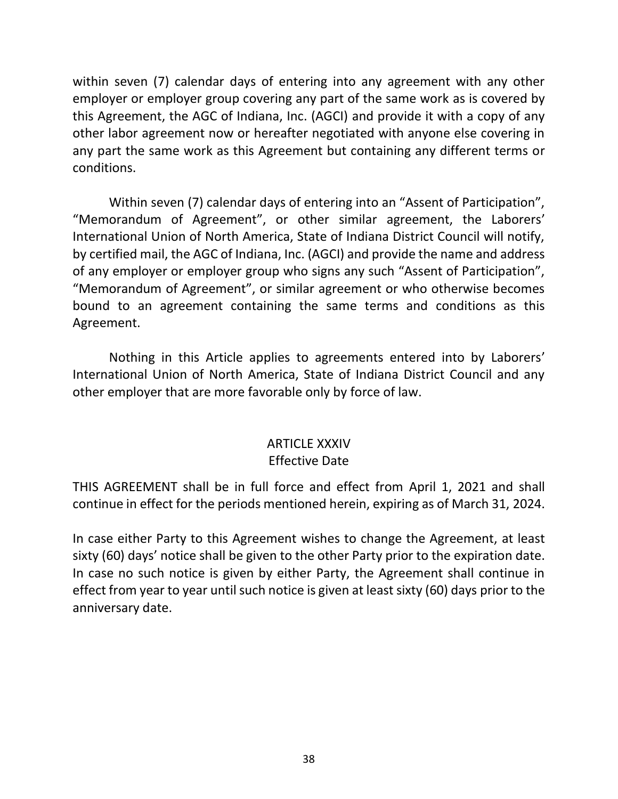within seven (7) calendar days of entering into any agreement with any other employer or employer group covering any part of the same work as is covered by this Agreement, the AGC of Indiana, Inc. (AGCI) and provide it with a copy of any other labor agreement now or hereafter negotiated with anyone else covering in any part the same work as this Agreement but containing any different terms or conditions.

Within seven (7) calendar days of entering into an "Assent of Participation", "Memorandum of Agreement", or other similar agreement, the Laborers' International Union of North America, State of Indiana District Council will notify, by certified mail, the AGC of Indiana, Inc. (AGCI) and provide the name and address of any employer or employer group who signs any such "Assent of Participation", "Memorandum of Agreement", or similar agreement or who otherwise becomes bound to an agreement containing the same terms and conditions as this Agreement.

Nothing in this Article applies to agreements entered into by Laborers' International Union of North America, State of Indiana District Council and any other employer that are more favorable only by force of law.

#### ARTICLE XXXIV Effective Date

THIS AGREEMENT shall be in full force and effect from April 1, 2021 and shall continue in effect for the periods mentioned herein, expiring as of March 31, 2024.

In case either Party to this Agreement wishes to change the Agreement, at least sixty (60) days' notice shall be given to the other Party prior to the expiration date. In case no such notice is given by either Party, the Agreement shall continue in effect from year to year until such notice is given at least sixty (60) days prior to the anniversary date.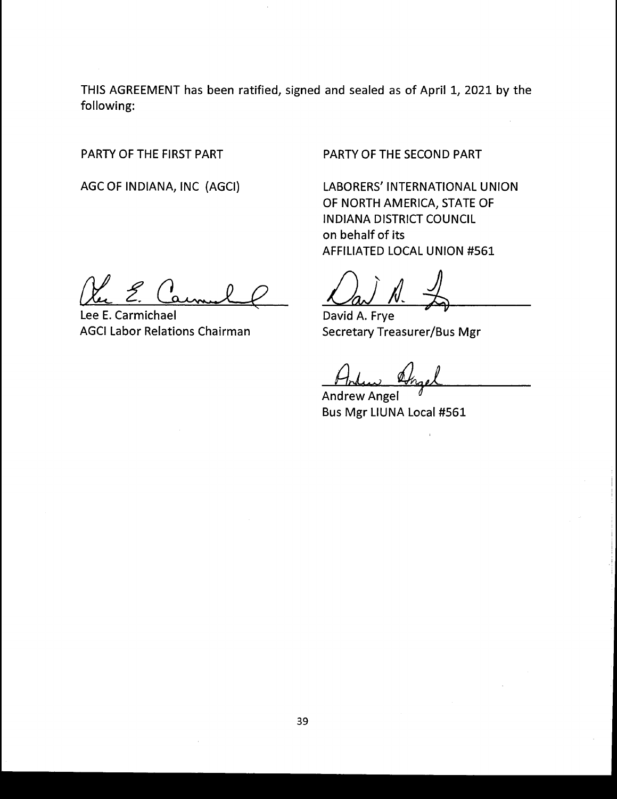THIS AGREEMENT has been ratified, signed and sealed as of April 1, 2021 by the following:

PARTY OF THE FIRST PART

AGC OF INDIANA, INC (AGCI)

PARTY OF THE SECOND PART

LABORERS' INTERNATIONAL UNION OF NORTH AMERICA, STATE OF IN DIANA DISTRICT COUNCIL on behalf of its AFFILIATED LOCAL UNION #561

Lee E. Carmichael AGCI Labor Relations Chairman

David A. Frye Secretary Treasurer/Bus Mgr

Andew Angel

Andrew Angel ) Bus Mgr LIUNA Local #561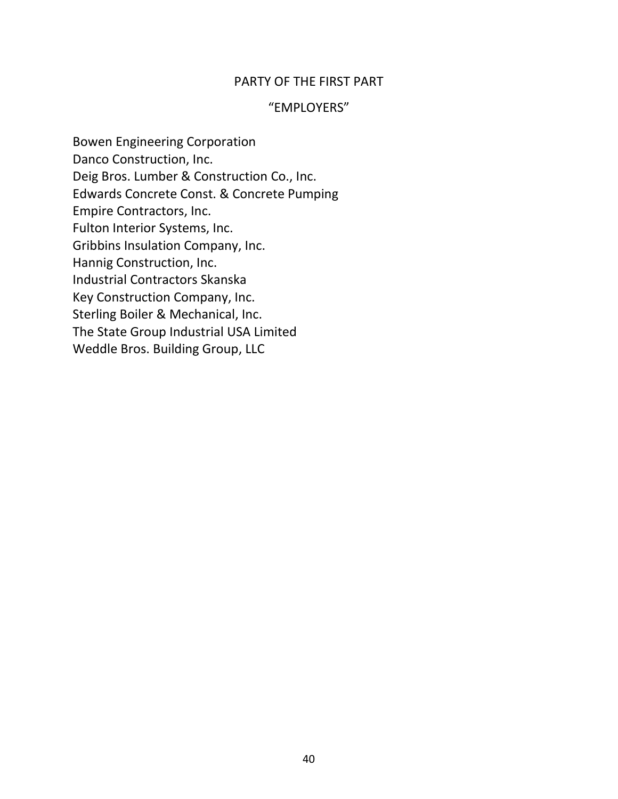#### PARTY OF THE FIRST PART

#### "EMPLOYERS"

Bowen Engineering Corporation Danco Construction, Inc. Deig Bros. Lumber & Construction Co., Inc. Edwards Concrete Const. & Concrete Pumping Empire Contractors, Inc. Fulton Interior Systems, Inc. Gribbins Insulation Company, Inc. Hannig Construction, Inc. Industrial Contractors Skanska Key Construction Company, Inc. Sterling Boiler & Mechanical, Inc. The State Group Industrial USA Limited Weddle Bros. Building Group, LLC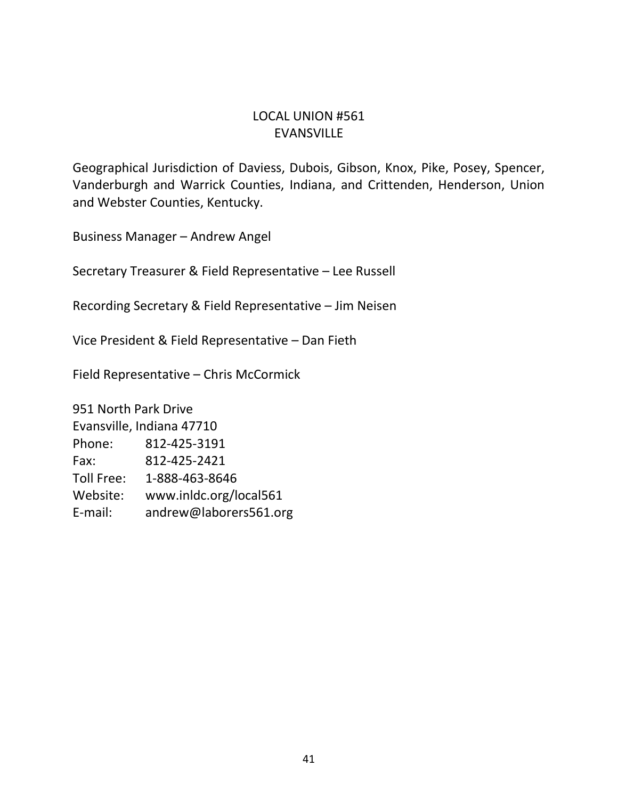## LOCAL UNION #561 EVANSVILLE

Geographical Jurisdiction of Daviess, Dubois, Gibson, Knox, Pike, Posey, Spencer, Vanderburgh and Warrick Counties, Indiana, and Crittenden, Henderson, Union and Webster Counties, Kentucky.

Business Manager – Andrew Angel

Secretary Treasurer & Field Representative – Lee Russell

Recording Secretary & Field Representative – Jim Neisen

Vice President & Field Representative – Dan Fieth

Field Representative – Chris McCormick

951 North Park Drive Evansville, Indiana 47710 Phone: 812-425-3191 Fax: 812-425-2421 Toll Free: 1-888-463-8646 Website: www.inldc.org/local561 E-mail: andrew@laborers561.org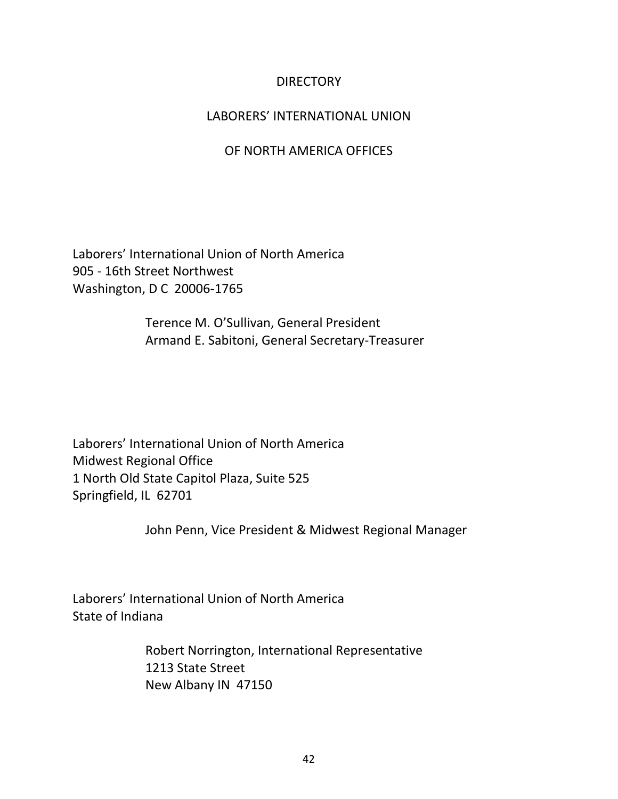### **DIRECTORY**

### LABORERS' INTERNATIONAL UNION

### OF NORTH AMERICA OFFICES

Laborers' International Union of North America 905 - 16th Street Northwest Washington, D C 20006-1765

> Terence M. O'Sullivan, General President Armand E. Sabitoni, General Secretary-Treasurer

Laborers' International Union of North America Midwest Regional Office 1 North Old State Capitol Plaza, Suite 525 Springfield, IL 62701

John Penn, Vice President & Midwest Regional Manager

Laborers' International Union of North America State of Indiana

> Robert Norrington, International Representative 1213 State Street New Albany IN 47150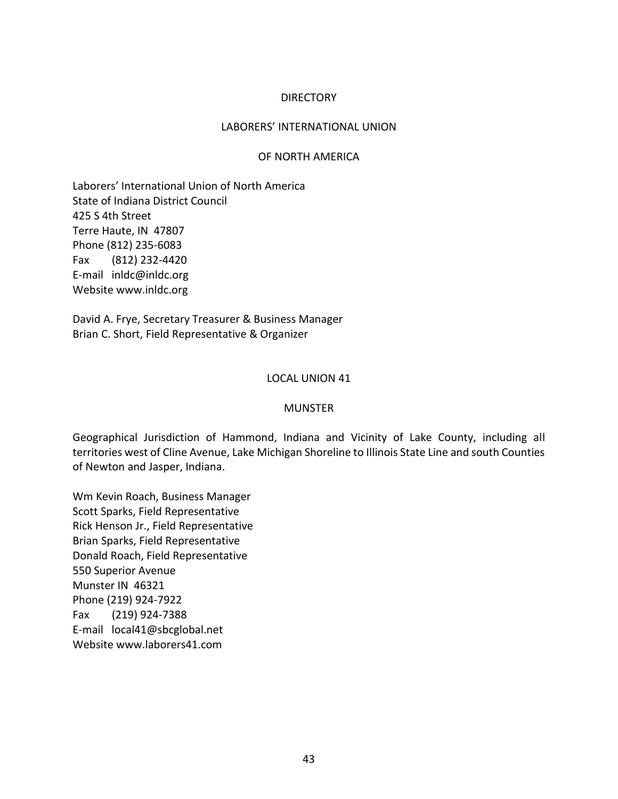#### DIRECTORY

#### LABORERS' INTERNATIONAL UNION

#### OF NORTH AMERICA

Laborers' International Union of North America State of Indiana District Council 425 S 4th Street Terre Haute, IN 47807 Phone (812) 235-6083 Fax (812) 232-4420 E-mail inldc@inldc.org Website www.inldc.org

David A. Frye, Secretary Treasurer & Business Manager Brian C. Short, Field Representative & Organizer

#### LOCAL UNION 41

#### MUNSTER

Geographical Jurisdiction of Hammond, Indiana and Vicinity of Lake County, including all territories west of Cline Avenue, Lake Michigan Shoreline to Illinois State Line and south Counties of Newton and Jasper, Indiana.

Wm Kevin Roach, Business Manager Scott Sparks, Field Representative Rick Henson Jr., Field Representative Brian Sparks, Field Representative Donald Roach, Field Representative 550 Superior Avenue Munster IN 46321 Phone (219) 924-7922 Fax (219) 924-7388 E-mail local41@sbcglobal.net Website www.laborers41.com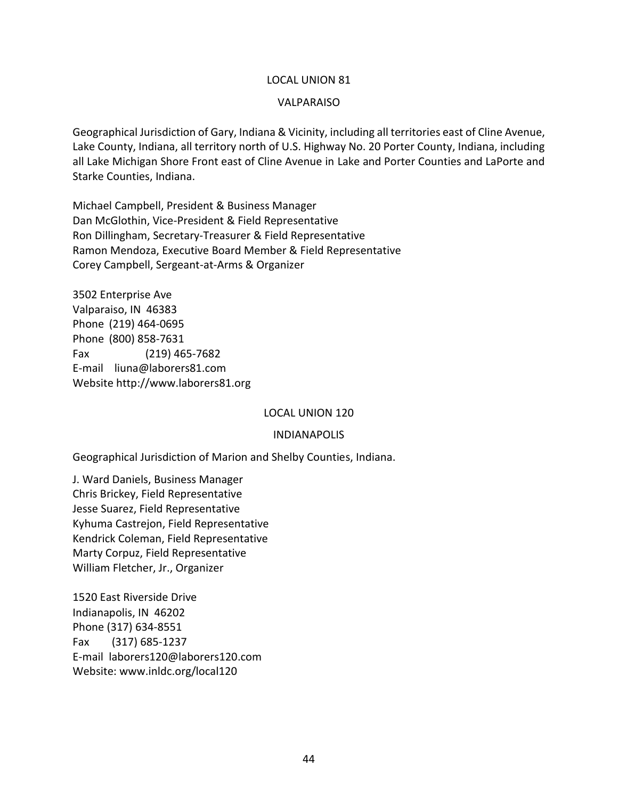#### VALPARAISO

Geographical Jurisdiction of Gary, Indiana & Vicinity, including all territories east of Cline Avenue, Lake County, Indiana, all territory north of U.S. Highway No. 20 Porter County, Indiana, including all Lake Michigan Shore Front east of Cline Avenue in Lake and Porter Counties and LaPorte and Starke Counties, Indiana.

Michael Campbell, President & Business Manager Dan McGlothin, Vice-President & Field Representative Ron Dillingham, Secretary-Treasurer & Field Representative Ramon Mendoza, Executive Board Member & Field Representative Corey Campbell, Sergeant-at-Arms & Organizer

3502 Enterprise Ave Valparaiso, IN 46383 Phone (219) 464-0695 Phone (800) 858-7631 Fax (219) 465-7682 E-mail liuna@laborers81.com Website http://www.laborers81.org

#### LOCAL UNION 120

#### INDIANAPOLIS

Geographical Jurisdiction of Marion and Shelby Counties, Indiana.

J. Ward Daniels, Business Manager Chris Brickey, Field Representative Jesse Suarez, Field Representative Kyhuma Castrejon, Field Representative Kendrick Coleman, Field Representative Marty Corpuz, Field Representative William Fletcher, Jr., Organizer

1520 East Riverside Drive Indianapolis, IN 46202 Phone (317) 634-8551 Fax (317) 685-1237 E-mail laborers120@laborers120.com Website: [www.inldc.org/local120](http://www.inldc.org/local120)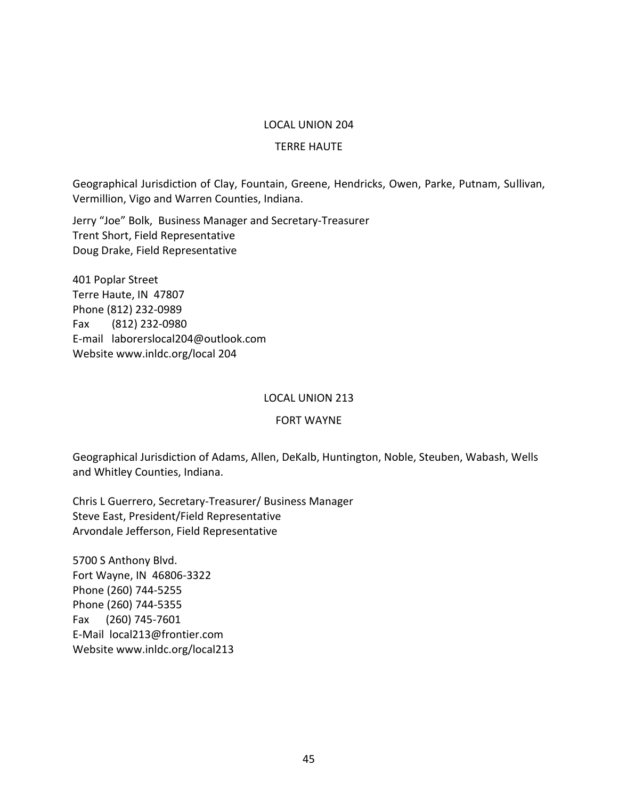#### TERRE HAUTE

Geographical Jurisdiction of Clay, Fountain, Greene, Hendricks, Owen, Parke, Putnam, Sullivan, Vermillion, Vigo and Warren Counties, Indiana.

Jerry "Joe" Bolk, Business Manager and Secretary-Treasurer Trent Short, Field Representative Doug Drake, Field Representative

401 Poplar Street Terre Haute, IN 47807 Phone (812) 232-0989 Fax (812) 232-0980 E-mail laborerslocal204@outlook.com Website www.inldc.org/local 204

#### LOCAL UNION 213

#### FORT WAYNE

Geographical Jurisdiction of Adams, Allen, DeKalb, Huntington, Noble, Steuben, Wabash, Wells and Whitley Counties, Indiana.

Chris L Guerrero, Secretary-Treasurer/ Business Manager Steve East, President/Field Representative Arvondale Jefferson, Field Representative

5700 S Anthony Blvd. Fort Wayne, IN 46806-3322 Phone (260) 744-5255 Phone (260) 744-5355 Fax (260) 745-7601 E-Mail local213@frontier.com Website www.inldc.org/local213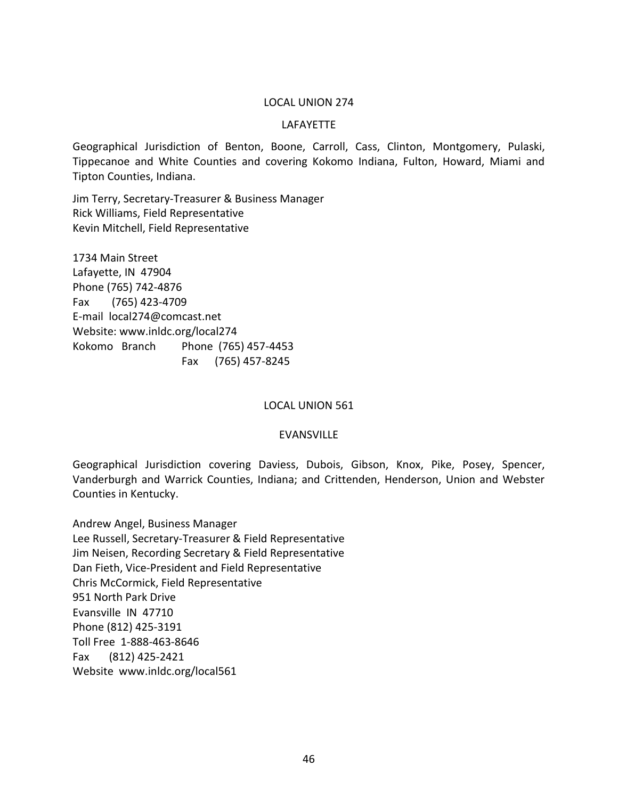#### LAFAYETTE

Geographical Jurisdiction of Benton, Boone, Carroll, Cass, Clinton, Montgomery, Pulaski, Tippecanoe and White Counties and covering Kokomo Indiana, Fulton, Howard, Miami and Tipton Counties, Indiana.

Jim Terry, Secretary-Treasurer & Business Manager Rick Williams, Field Representative Kevin Mitchell, Field Representative

1734 Main Street Lafayette, IN 47904 Phone (765) 742-4876 Fax (765) 423-4709 E-mail local274@comcast.net Website: [www.inldc.org/local274](http://www.inldc.org/local274/index.html) Kokomo Branch Phone (765) 457-4453 Fax (765) 457-8245

#### LOCAL UNION 561

#### EVANSVILLE

Geographical Jurisdiction covering Daviess, Dubois, Gibson, Knox, Pike, Posey, Spencer, Vanderburgh and Warrick Counties, Indiana; and Crittenden, Henderson, Union and Webster Counties in Kentucky.

Andrew Angel, Business Manager Lee Russell, Secretary-Treasurer & Field Representative Jim Neisen, Recording Secretary & Field Representative Dan Fieth, Vice-President and Field Representative Chris McCormick, Field Representative 951 North Park Drive Evansville IN 47710 Phone (812) 425-3191 Toll Free 1-888-463-8646 Fax (812) 425-2421 Website www.inldc.org/local561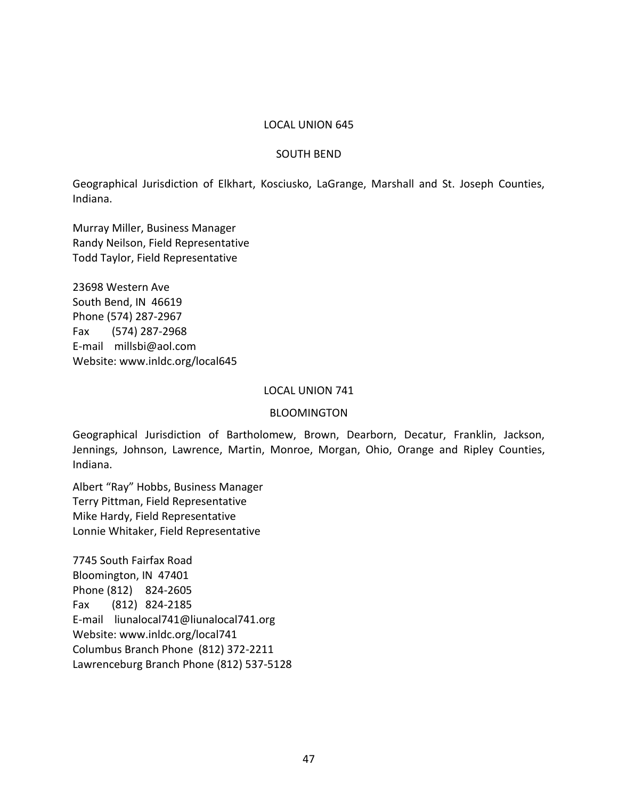#### SOUTH BEND

Geographical Jurisdiction of Elkhart, Kosciusko, LaGrange, Marshall and St. Joseph Counties, Indiana.

Murray Miller, Business Manager Randy Neilson, Field Representative Todd Taylor, Field Representative

23698 Western Ave South Bend, IN 46619 Phone (574) 287-2967 Fax (574) 287-2968 E-mail millsbi@aol.com Website: [www.inldc.org/local645](http://www.inldc.org/local645/index.html)

#### LOCAL UNION 741

#### BLOOMINGTON

Geographical Jurisdiction of Bartholomew, Brown, Dearborn, Decatur, Franklin, Jackson, Jennings, Johnson, Lawrence, Martin, Monroe, Morgan, Ohio, Orange and Ripley Counties, Indiana.

Albert "Ray" Hobbs, Business Manager Terry Pittman, Field Representative Mike Hardy, Field Representative Lonnie Whitaker, Field Representative

7745 South Fairfax Road Bloomington, IN 47401 Phone (812) 824-2605 Fax (812) 824-2185 E-mail liunalocal741@liunalocal741.org Website: [www.inldc.org/local741](http://www.inldc.org/local741) Columbus Branch Phone (812) 372-2211 Lawrenceburg Branch Phone (812) 537-5128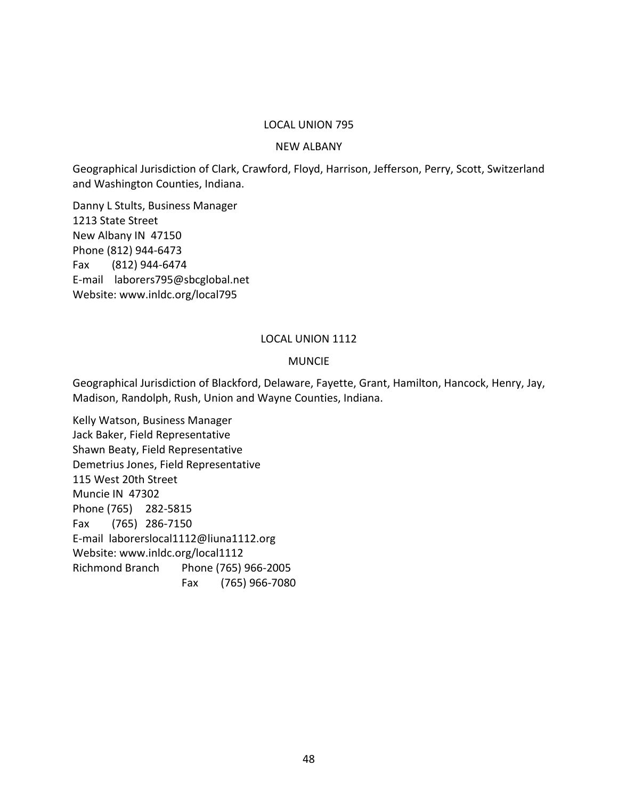#### NEW ALBANY

Geographical Jurisdiction of Clark, Crawford, Floyd, Harrison, Jefferson, Perry, Scott, Switzerland and Washington Counties, Indiana.

Danny L Stults, Business Manager 1213 State Street New Albany IN 47150 Phone (812) 944-6473 Fax (812) 944-6474 E-mail laborers795@sbcglobal.net Website: [www.inldc.org/local795](http://www.inldc.org/local795/index.html)

#### LOCAL UNION 1112

#### MUNCIE

Geographical Jurisdiction of Blackford, Delaware, Fayette, Grant, Hamilton, Hancock, Henry, Jay, Madison, Randolph, Rush, Union and Wayne Counties, Indiana.

Kelly Watson, Business Manager Jack Baker, Field Representative Shawn Beaty, Field Representative Demetrius Jones, Field Representative 115 West 20th Street Muncie IN 47302 Phone (765) 282-5815 Fax (765) 286-7150 E-mail laborerslocal1112@liuna1112.org Website: [www.inldc.org/local1112](http://www.inldc.org/local1112/index.html) Richmond Branch Phone (765) 966-2005 Fax (765) 966-7080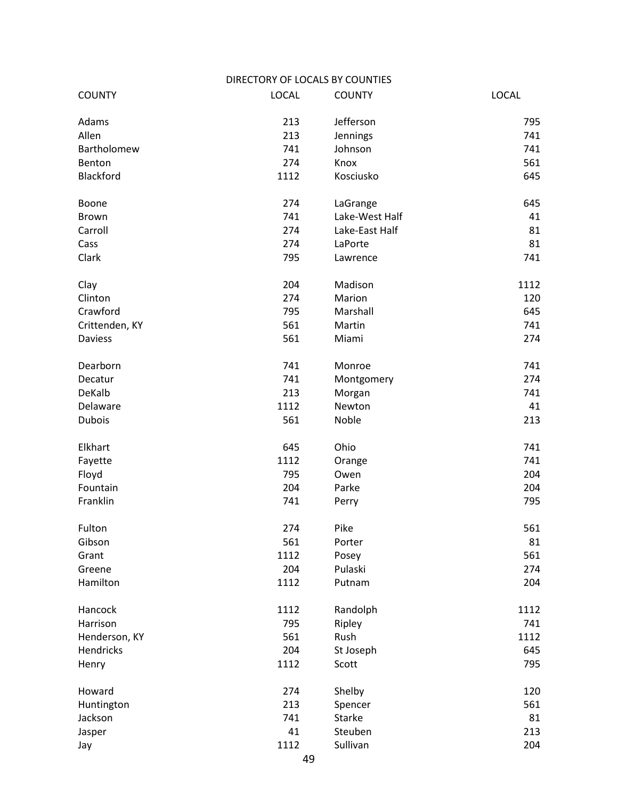|                | DIRECTORY OF LOCALS BY COUNTIES |                |              |
|----------------|---------------------------------|----------------|--------------|
| <b>COUNTY</b>  | <b>LOCAL</b>                    | <b>COUNTY</b>  | <b>LOCAL</b> |
| Adams          | 213                             | Jefferson      | 795          |
| Allen          | 213                             | Jennings       | 741          |
| Bartholomew    | 741                             | Johnson        | 741          |
| Benton         | 274                             | Knox           | 561          |
| Blackford      | 1112                            | Kosciusko      | 645          |
| Boone          | 274                             | LaGrange       | 645          |
| <b>Brown</b>   | 741                             | Lake-West Half | 41           |
| Carroll        | 274                             | Lake-East Half | 81           |
| Cass           | 274                             | LaPorte        | 81           |
| Clark          | 795                             | Lawrence       | 741          |
| Clay           | 204                             | Madison        | 1112         |
| Clinton        | 274                             | Marion         | 120          |
| Crawford       | 795                             | Marshall       | 645          |
| Crittenden, KY | 561                             | Martin         | 741          |
| <b>Daviess</b> | 561                             | Miami          | 274          |
| Dearborn       | 741                             | Monroe         | 741          |
| Decatur        | 741                             | Montgomery     | 274          |
| DeKalb         | 213                             | Morgan         | 741          |
| Delaware       | 1112                            | Newton         | 41           |
| <b>Dubois</b>  | 561                             | Noble          | 213          |
| Elkhart        | 645                             | Ohio           | 741          |
| Fayette        | 1112                            | Orange         | 741          |
| Floyd          | 795                             | Owen           | 204          |
| Fountain       | 204                             | Parke          | 204          |
| Franklin       | 741                             | Perry          | 795          |
| Fulton         | 274                             | Pike           | 561          |
| Gibson         | 561                             | Porter         | 81           |
| Grant          | 1112                            | Posey          | 561          |
| Greene         | 204                             | Pulaski        | 274          |
| Hamilton       | 1112                            | Putnam         | 204          |
| Hancock        | 1112                            | Randolph       | 1112         |
| Harrison       | 795                             | Ripley         | 741          |
| Henderson, KY  | 561                             | Rush           | 1112         |
| Hendricks      | 204                             | St Joseph      | 645          |
| Henry          | 1112                            | Scott          | 795          |
| Howard         | 274                             | Shelby         | 120          |
| Huntington     | 213                             | Spencer        | 561          |
| Jackson        | 741                             | <b>Starke</b>  | 81           |
| Jasper         | 41                              | Steuben        | 213          |
| Jay            | 1112                            | Sullivan       | 204          |